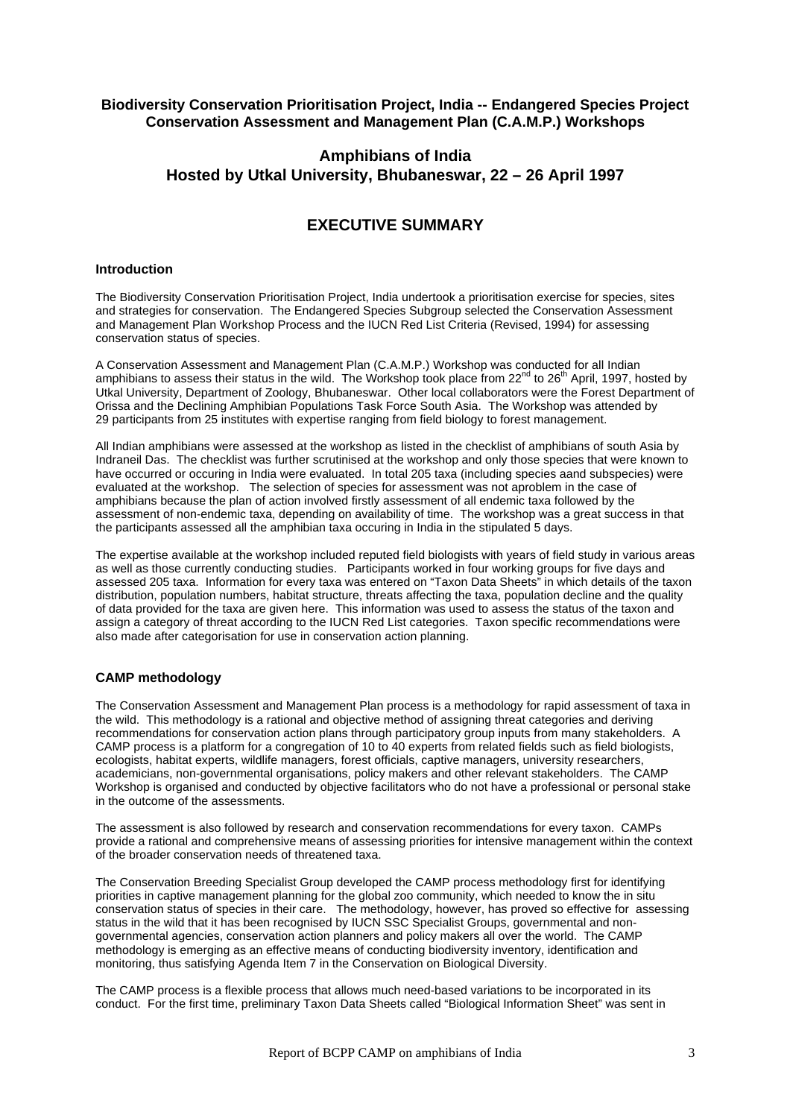### **Biodiversity Conservation Prioritisation Project, India -- Endangered Species Project Conservation Assessment and Management Plan (C.A.M.P.) Workshops**

## **Amphibians of India Hosted by Utkal University, Bhubaneswar, 22 – 26 April 1997**

# **EXECUTIVE SUMMARY**

#### **Introduction**

The Biodiversity Conservation Prioritisation Project, India undertook a prioritisation exercise for species, sites and strategies for conservation. The Endangered Species Subgroup selected the Conservation Assessment and Management Plan Workshop Process and the IUCN Red List Criteria (Revised, 1994) for assessing conservation status of species.

A Conservation Assessment and Management Plan (C.A.M.P.) Workshop was conducted for all Indian amphibians to assess their status in the wild. The Workshop took place from  $22^{nd}$  to  $26^{th}$  April, 1997, hosted by Utkal University, Department of Zoology, Bhubaneswar. Other local collaborators were the Forest Department of Orissa and the Declining Amphibian Populations Task Force South Asia. The Workshop was attended by 29 participants from 25 institutes with expertise ranging from field biology to forest management.

All Indian amphibians were assessed at the workshop as listed in the checklist of amphibians of south Asia by Indraneil Das. The checklist was further scrutinised at the workshop and only those species that were known to have occurred or occuring in India were evaluated. In total 205 taxa (including species aand subspecies) were evaluated at the workshop. The selection of species for assessment was not aproblem in the case of amphibians because the plan of action involved firstly assessment of all endemic taxa followed by the assessment of non-endemic taxa, depending on availability of time. The workshop was a great success in that the participants assessed all the amphibian taxa occuring in India in the stipulated 5 days.

The expertise available at the workshop included reputed field biologists with years of field study in various areas as well as those currently conducting studies. Participants worked in four working groups for five days and assessed 205 taxa. Information for every taxa was entered on "Taxon Data Sheets" in which details of the taxon distribution, population numbers, habitat structure, threats affecting the taxa, population decline and the quality of data provided for the taxa are given here. This information was used to assess the status of the taxon and assign a category of threat according to the IUCN Red List categories. Taxon specific recommendations were also made after categorisation for use in conservation action planning.

#### **CAMP methodology**

The Conservation Assessment and Management Plan process is a methodology for rapid assessment of taxa in the wild. This methodology is a rational and objective method of assigning threat categories and deriving recommendations for conservation action plans through participatory group inputs from many stakeholders. A CAMP process is a platform for a congregation of 10 to 40 experts from related fields such as field biologists, ecologists, habitat experts, wildlife managers, forest officials, captive managers, university researchers, academicians, non-governmental organisations, policy makers and other relevant stakeholders. The CAMP Workshop is organised and conducted by objective facilitators who do not have a professional or personal stake in the outcome of the assessments.

The assessment is also followed by research and conservation recommendations for every taxon. CAMPs provide a rational and comprehensive means of assessing priorities for intensive management within the context of the broader conservation needs of threatened taxa.

The Conservation Breeding Specialist Group developed the CAMP process methodology first for identifying priorities in captive management planning for the global zoo community, which needed to know the in situ conservation status of species in their care. The methodology, however, has proved so effective for assessing status in the wild that it has been recognised by IUCN SSC Specialist Groups, governmental and nongovernmental agencies, conservation action planners and policy makers all over the world. The CAMP methodology is emerging as an effective means of conducting biodiversity inventory, identification and monitoring, thus satisfying Agenda Item 7 in the Conservation on Biological Diversity.

The CAMP process is a flexible process that allows much need-based variations to be incorporated in its conduct. For the first time, preliminary Taxon Data Sheets called "Biological Information Sheet" was sent in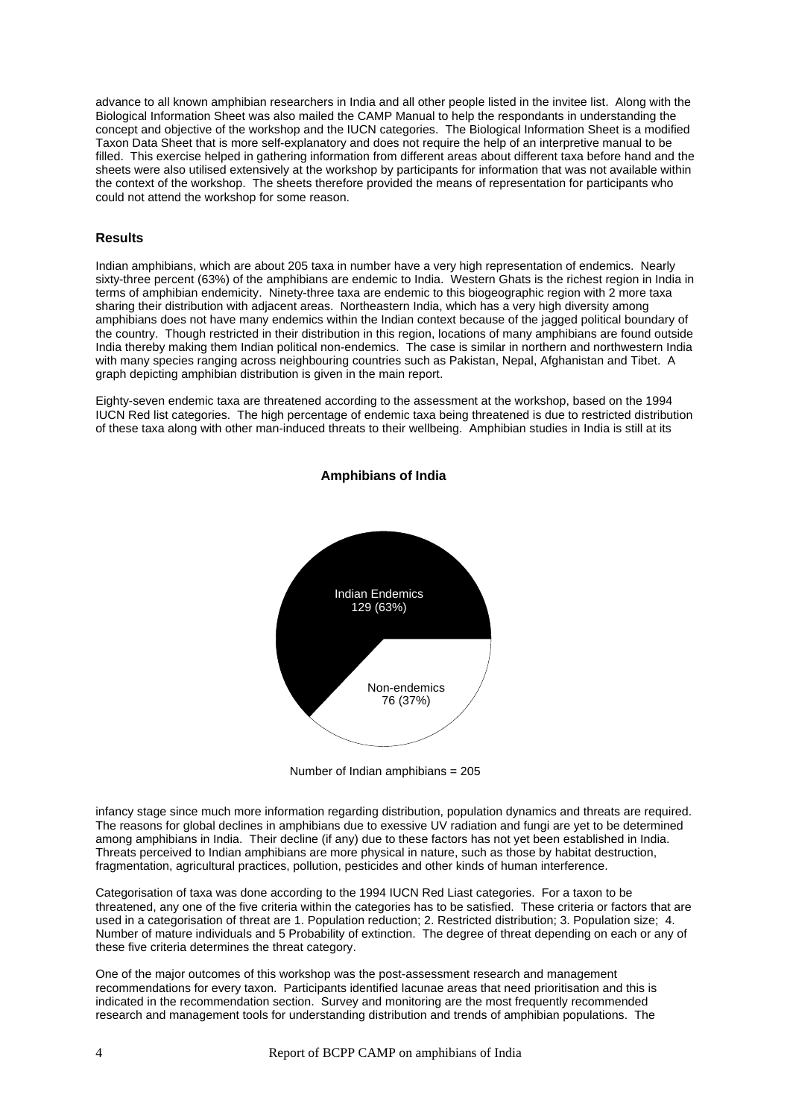advance to all known amphibian researchers in India and all other people listed in the invitee list. Along with the Biological Information Sheet was also mailed the CAMP Manual to help the respondants in understanding the concept and objective of the workshop and the IUCN categories. The Biological Information Sheet is a modified Taxon Data Sheet that is more self-explanatory and does not require the help of an interpretive manual to be filled. This exercise helped in gathering information from different areas about different taxa before hand and the sheets were also utilised extensively at the workshop by participants for information that was not available within the context of the workshop. The sheets therefore provided the means of representation for participants who could not attend the workshop for some reason.

#### **Results**

Indian amphibians, which are about 205 taxa in number have a very high representation of endemics. Nearly sixty-three percent (63%) of the amphibians are endemic to India. Western Ghats is the richest region in India in terms of amphibian endemicity. Ninety-three taxa are endemic to this biogeographic region with 2 more taxa sharing their distribution with adjacent areas. Northeastern India, which has a very high diversity among amphibians does not have many endemics within the Indian context because of the jagged political boundary of the country. Though restricted in their distribution in this region, locations of many amphibians are found outside India thereby making them Indian political non-endemics. The case is similar in northern and northwestern India with many species ranging across neighbouring countries such as Pakistan, Nepal, Afghanistan and Tibet. A graph depicting amphibian distribution is given in the main report.

Eighty-seven endemic taxa are threatened according to the assessment at the workshop, based on the 1994 IUCN Red list categories. The high percentage of endemic taxa being threatened is due to restricted distribution of these taxa along with other man-induced threats to their wellbeing. Amphibian studies in India is still at its



**Amphibians of India**

Number of Indian amphibians = 205

infancy stage since much more information regarding distribution, population dynamics and threats are required. The reasons for global declines in amphibians due to exessive UV radiation and fungi are yet to be determined among amphibians in India. Their decline (if any) due to these factors has not yet been established in India. Threats perceived to Indian amphibians are more physical in nature, such as those by habitat destruction, fragmentation, agricultural practices, pollution, pesticides and other kinds of human interference.

Categorisation of taxa was done according to the 1994 IUCN Red Liast categories. For a taxon to be threatened, any one of the five criteria within the categories has to be satisfied. These criteria or factors that are used in a categorisation of threat are 1. Population reduction; 2. Restricted distribution; 3. Population size; 4. Number of mature individuals and 5 Probability of extinction. The degree of threat depending on each or any of these five criteria determines the threat category.

One of the major outcomes of this workshop was the post-assessment research and management recommendations for every taxon. Participants identified lacunae areas that need prioritisation and this is indicated in the recommendation section. Survey and monitoring are the most frequently recommended research and management tools for understanding distribution and trends of amphibian populations. The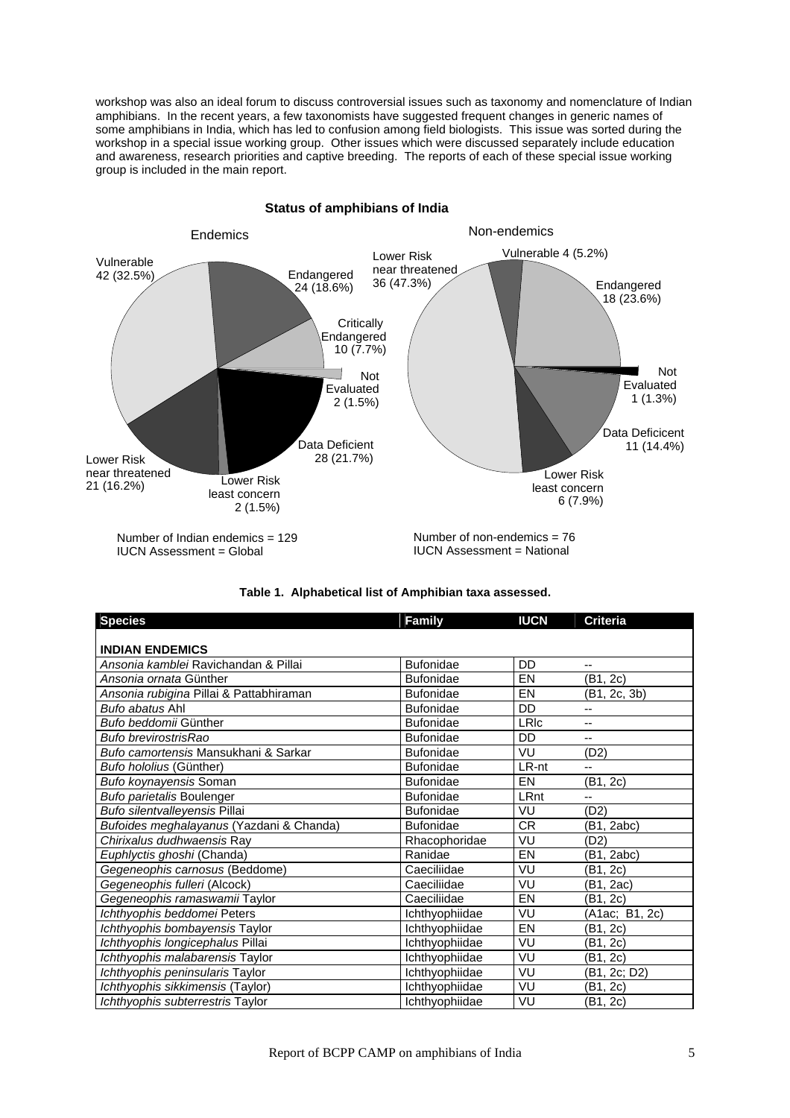workshop was also an ideal forum to discuss controversial issues such as taxonomy and nomenclature of Indian amphibians. In the recent years, a few taxonomists have suggested frequent changes in generic names of some amphibians in India, which has led to confusion among field biologists. This issue was sorted during the workshop in a special issue working group. Other issues which were discussed separately include education and awareness, research priorities and captive breeding. The reports of each of these special issue working group is included in the main report.



| Table 1. Alphabetical list of Amphibian taxa assessed. |
|--------------------------------------------------------|
|                                                        |

| <b>Species</b>                           | <b>Family</b>    | <b>IUCN</b> | <b>Criteria</b> |
|------------------------------------------|------------------|-------------|-----------------|
|                                          |                  |             |                 |
| <b>INDIAN ENDEMICS</b>                   |                  |             |                 |
| Ansonia kamblei Ravichandan & Pillai     | <b>Bufonidae</b> | DD          | $- -$           |
| Ansonia ornata Günther                   | <b>Bufonidae</b> | EN          | (B1, 2c)        |
| Ansonia rubigina Pillai & Pattabhiraman  | <b>Bufonidae</b> | EN          | (B1, 2c, 3b)    |
| Bufo abatus Ahl                          | <b>Bufonidae</b> | DD          |                 |
| Bufo beddomii Günther                    | <b>Bufonidae</b> | LRIc        | $-$             |
| Bufo brevirostrisRao                     | <b>Bufonidae</b> | DD          | --              |
| Bufo camortensis Mansukhani & Sarkar     | <b>Bufonidae</b> | VU          | (D2)            |
| Bufo hololius (Günther)                  | <b>Bufonidae</b> | LR-nt       | --              |
| Bufo koynayensis Soman                   | <b>Bufonidae</b> | EN          | (B1, 2c)        |
| Bufo parietalis Boulenger                | <b>Bufonidae</b> | LRnt        | --              |
| Bufo silentvalleyensis Pillai            | <b>Bufonidae</b> | VU          | (D2)            |
| Bufoides meghalayanus (Yazdani & Chanda) | <b>Bufonidae</b> | <b>CR</b>   | (B1, 2abc)      |
| Chirixalus dudhwaensis Ray               | Rhacophoridae    | VU          | (D2)            |
| Euphlyctis ghoshi (Chanda)               | Ranidae          | EN          | (B1, 2abc)      |
| Gegeneophis carnosus (Beddome)           | Caeciliidae      | VU          | (B1, 2c)        |
| Gegeneophis fulleri (Alcock)             | Caeciliidae      | VU          | (B1, 2ac)       |
| Gegeneophis ramaswamii Taylor            | Caeciliidae      | EN          | (B1, 2c)        |
| Ichthyophis beddomei Peters              | Ichthyophiidae   | VU          | (A1ac; B1, 2c)  |
| Ichthyophis bombayensis Taylor           | Ichthyophiidae   | EN          | (B1, 2c)        |
| Ichthyophis longicephalus Pillai         | Ichthyophiidae   | VU          | (B1, 2c)        |
| Ichthyophis malabarensis Taylor          | Ichthyophiidae   | VU          | (B1, 2c)        |
| Ichthyophis peninsularis Taylor          | Ichthyophiidae   | VU          | (B1, 2c; D2)    |
| Ichthyophis sikkimensis (Taylor)         | Ichthyophiidae   | VU          | (B1, 2c)        |
| Ichthyophis subterrestris Taylor         | Ichthyophiidae   | VU          | (B1, 2c)        |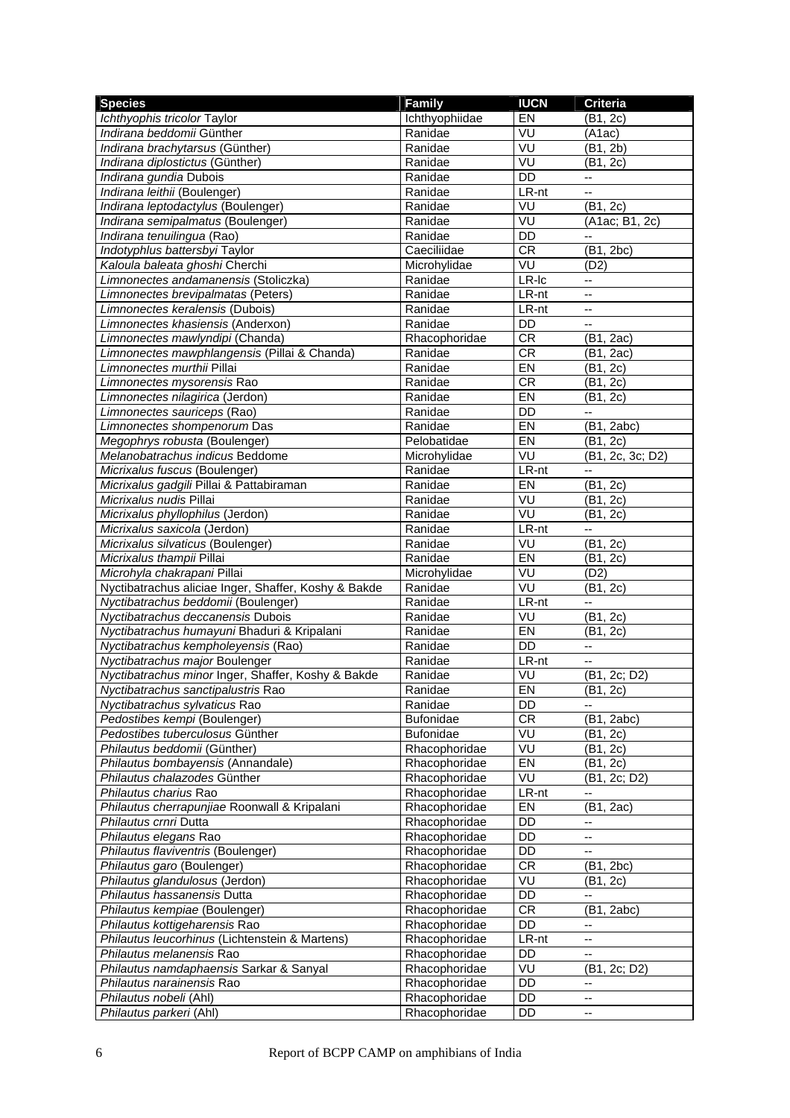| <b>Species</b>                                       | <b>Family</b>    | <b>IUCN</b> | <b>Criteria</b>          |
|------------------------------------------------------|------------------|-------------|--------------------------|
| Ichthyophis tricolor Taylor                          | Ichthyophiidae   | EN          | (B1, 2c)                 |
| Indirana beddomii Günther                            | Ranidae          | VU          | (A1ac)                   |
| Indirana brachytarsus (Günther)                      | Ranidae          | VU          | (B1, 2b)                 |
| Indirana diplostictus (Günther)                      | Ranidae          | VU          | (B1, 2c)                 |
| Indirana gundia Dubois                               | Ranidae          | <b>DD</b>   | --                       |
| Indirana leithii (Boulenger)                         | Ranidae          | LR-nt       | --                       |
| Indirana leptodactylus (Boulenger)                   | Ranidae          | VU          | (B1, 2c)                 |
| Indirana semipalmatus (Boulenger)                    | Ranidae          | VU          | (A1ac; B1, 2c)           |
| Indirana tenuilingua (Rao)                           | Ranidae          | DD          | --                       |
| Indotyphlus battersbyi Taylor                        | Caeciliidae      | <b>CR</b>   | (B1, 2bc)                |
| Kaloula baleata ghoshi Cherchi                       | Microhylidae     | VU          | (D2)                     |
| Limnonectes andamanensis (Stoliczka)                 | Ranidae          | LR-Ic       | --                       |
| Limnonectes brevipalmatas (Peters)                   | Ranidae          | LR-nt       | --                       |
| Limnonectes keralensis (Dubois)                      | Ranidae          | LR-nt       | --                       |
| Limnonectes khasiensis (Anderxon)                    | Ranidae          | <b>DD</b>   | u.                       |
| Limnonectes mawlyndipi (Chanda)                      | Rhacophoridae    | <b>CR</b>   | (B1, 2ac)                |
| Limnonectes mawphlangensis (Pillai & Chanda)         | Ranidae          | <b>CR</b>   | (B1, 2ac)                |
| Limnonectes murthii Pillai                           | Ranidae          | EN          | (B1, 2c)                 |
| Limnonectes mysorensis Rao                           | Ranidae          | <b>CR</b>   | $\overline{B}1, 2c$      |
| Limnonectes nilagirica (Jerdon)                      | Ranidae          | EN          | (B1, 2c)                 |
| Limnonectes sauriceps (Rao)                          | Ranidae          | <b>DD</b>   |                          |
| Limnonectes shompenorum Das                          | Ranidae          | <b>EN</b>   | (B1, 2abc)               |
| Megophrys robusta (Boulenger)                        | Pelobatidae      | EN          | (B1, 2c)                 |
| Melanobatrachus indicus Beddome                      | Microhylidae     | VU          | (B1, 2c, 3c; D2)         |
| Micrixalus fuscus (Boulenger)                        | Ranidae          | $LR-nt$     | --                       |
| Micrixalus gadgili Pillai & Pattabiraman             | Ranidae          | EN          | (B1, 2c)                 |
| Micrixalus nudis Pillai                              | Ranidae          | VU          | (B1, 2c)                 |
| Micrixalus phyllophilus (Jerdon)                     | Ranidae          | VU          | (B1, 2c)                 |
| Micrixalus saxicola (Jerdon)                         | Ranidae          | LR-nt       | Ξ.                       |
| Micrixalus silvaticus (Boulenger)                    | Ranidae          | VU          | (B1, 2c)                 |
| Micrixalus thampii Pillai                            | Ranidae          | EN          | (B1, 2c)                 |
| Microhyla chakrapani Pillai                          | Microhylidae     | VU          | (D2)                     |
| Nyctibatrachus aliciae Inger, Shaffer, Koshy & Bakde | Ranidae          | VU          | (B1, 2c)                 |
| Nyctibatrachus beddomii (Boulenger)                  | Ranidae          | LR-nt       | Ξ.                       |
| Nyctibatrachus deccanensis Dubois                    | Ranidae          | VU          | (B1, 2c)                 |
| Nyctibatrachus humayuni Bhaduri & Kripalani          | Ranidae          | EN          | (B1, 2c)                 |
| Nyctibatrachus kempholeyensis (Rao)                  | Ranidae          | <b>DD</b>   | --                       |
| Nyctibatrachus major Boulenger                       | Ranidae          | LR-nt       |                          |
| Nyctibatrachus minor Inger, Shaffer, Koshy & Bakde   | Ranidae          | VU          | (B1, 2c; D2)             |
| Nyctibatrachus sanctipalustris Rao                   | Ranidae          | EN          | (B1, 2c)                 |
| Nyctibatrachus sylvaticus Rao                        | Ranidae          | DD          |                          |
| Pedostibes kempi (Boulenger)                         | <b>Bufonidae</b> | CR          | (B1, 2abc)               |
| Pedostibes tuberculosus Günther                      | <b>Bufonidae</b> | VU          | (B1, 2c)                 |
| Philautus beddomii (Günther)                         | Rhacophoridae    | VU          | (B1, 2c)                 |
| Philautus bombayensis (Annandale)                    | Rhacophoridae    | EN          | (B1, 2c)                 |
| Philautus chalazodes Günther                         | Rhacophoridae    | VU          | (B1, 2c; D2)             |
| Philautus charius Rao                                | Rhacophoridae    | LR-nt       | --                       |
| Philautus cherrapunjiae Roonwall & Kripalani         | Rhacophoridae    | EN          | (B1, 2ac)                |
| Philautus crnri Dutta                                | Rhacophoridae    | DD          | ۰.                       |
| Philautus elegans Rao                                | Rhacophoridae    | DD          | --                       |
| Philautus flaviventris (Boulenger)                   | Rhacophoridae    | DD          | --                       |
| Philautus garo (Boulenger)                           | Rhacophoridae    | <b>CR</b>   | (B1, 2bc)                |
| Philautus glandulosus (Jerdon)                       | Rhacophoridae    | VU          | (B1, 2c)                 |
| Philautus hassanensis Dutta                          | Rhacophoridae    | DD          | Ξ.                       |
| Philautus kempiae (Boulenger)                        | Rhacophoridae    | <b>CR</b>   | (B1, 2abc)               |
| Philautus kottigeharensis Rao                        | Rhacophoridae    | DD          | --                       |
| Philautus leucorhinus (Lichtenstein & Martens)       | Rhacophoridae    | LR-nt       | $-$                      |
| Philautus melanensis Rao                             | Rhacophoridae    | DD          |                          |
| Philautus namdaphaensis Sarkar & Sanyal              | Rhacophoridae    | VU          | (B1, 2c; D2)             |
| Philautus narainensis Rao                            | Rhacophoridae    | DD          | $\overline{\phantom{a}}$ |
| Philautus nobeli (Ahl)                               | Rhacophoridae    | DD          | --                       |
| Philautus parkeri (Ahl)                              | Rhacophoridae    | DD          | --                       |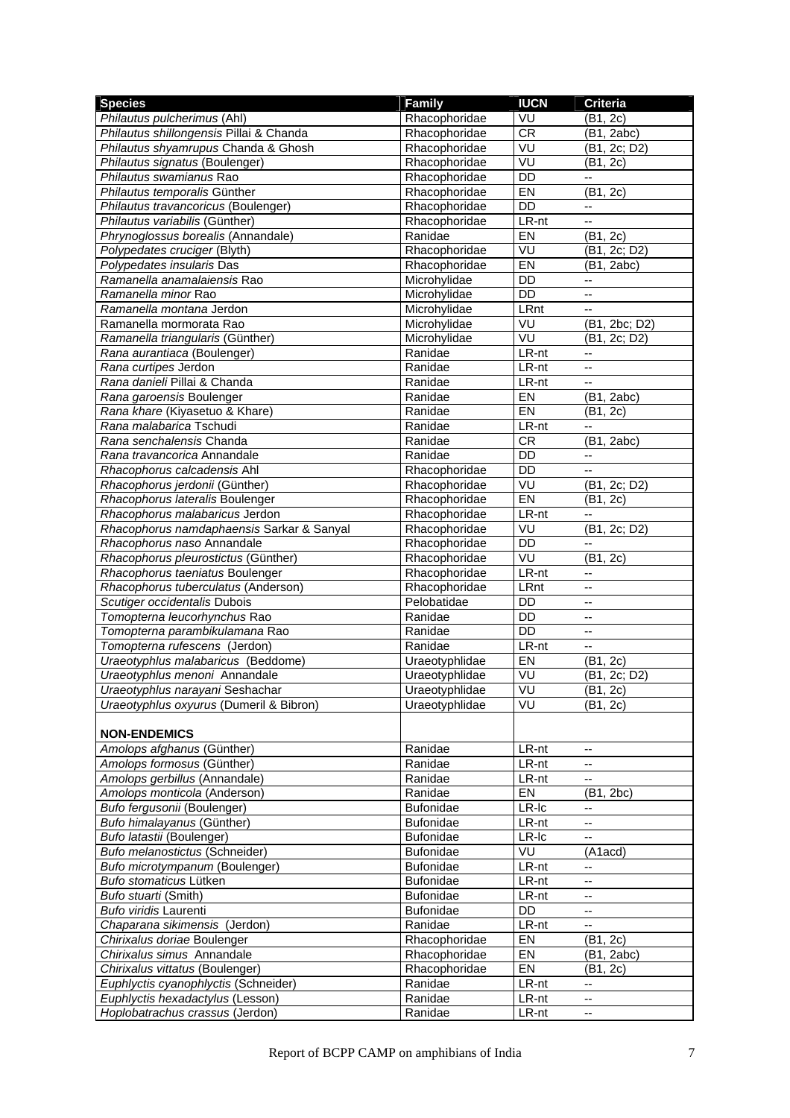| <b>Species</b>                            | <b>Family</b>    | <b>IUCN</b>     | <b>Criteria</b>          |
|-------------------------------------------|------------------|-----------------|--------------------------|
| Philautus pulcherimus (Ahl)               | Rhacophoridae    | VU              | (B1, 2c)                 |
| Philautus shillongensis Pillai & Chanda   | Rhacophoridae    | CR              | (B1, 2abc)               |
| Philautus shyamrupus Chanda & Ghosh       | Rhacophoridae    | VU              | (B1, 2c; D2)             |
| Philautus signatus (Boulenger)            | Rhacophoridae    | VU              | (B1, 2c)                 |
| Philautus swamianus Rao                   | Rhacophoridae    | <b>DD</b>       | --                       |
| Philautus temporalis Günther              | Rhacophoridae    | EN              | (B1, 2c)                 |
| Philautus travancoricus (Boulenger)       | Rhacophoridae    | <b>DD</b>       | --                       |
| Philautus variabilis (Günther)            | Rhacophoridae    | LR-nt           |                          |
| Phrynoglossus borealis (Annandale)        | Ranidae          | EN              | (B1, 2c)                 |
| Polypedates cruciger (Blyth)              | Rhacophoridae    | VU              | (B1, 2c; D2)             |
| Polypedates insularis Das                 | Rhacophoridae    | EN              | (B1, 2abc)               |
| Ramanella anamalaiensis Rao               | Microhylidae     | DD              | --                       |
| Ramanella minor Rao                       | Microhylidae     | DD              | $-$                      |
| Ramanella montana Jerdon                  | Microhylidae     | LRnt            |                          |
| Ramanella mormorata Rao                   | Microhylidae     | VU              | (B1, 2bc; D2)            |
| Ramanella triangularis (Günther)          | Microhylidae     | VU              | (B1, 2c; D2)             |
| Rana aurantiaca (Boulenger)               | Ranidae          | LR-nt           | ۰.                       |
| Rana curtipes Jerdon                      | Ranidae          | LR-nt           | $-$                      |
| Rana danieli Pillai & Chanda              | Ranidae          | LR-nt           | $-$                      |
| Rana garoensis Boulenger                  | Ranidae          | EN              | (B1, 2abc)               |
| Rana khare (Kiyasetuo & Khare)            | Ranidae          | EN              | (B1, 2c)                 |
| Rana malabarica Tschudi                   | Ranidae          | LR-nt           | $-$                      |
| Rana senchalensis Chanda                  | Ranidae          | <b>CR</b>       | (B1, 2abc)               |
| Rana travancorica Annandale               | Ranidae          | <b>DD</b>       | --                       |
| Rhacophorus calcadensis Ahl               | Rhacophoridae    | $\overline{DD}$ | --                       |
| Rhacophorus jerdonii (Günther)            | Rhacophoridae    | VU              | (B1, 2c; D2)             |
| Rhacophorus lateralis Boulenger           | Rhacophoridae    | E               | (B1, 2c)                 |
| Rhacophorus malabaricus Jerdon            | Rhacophoridae    | LR-nt           | --                       |
| Rhacophorus namdaphaensis Sarkar & Sanyal | Rhacophoridae    | VU              | (B1, 2c; D2)             |
| Rhacophorus naso Annandale                | Rhacophoridae    | DD              | ۰.                       |
| Rhacophorus pleurostictus (Günther)       | Rhacophoridae    | VU              | (B1, 2c)                 |
| Rhacophorus taeniatus Boulenger           | Rhacophoridae    | LR-nt           | $-$                      |
| Rhacophorus tuberculatus (Anderson)       | Rhacophoridae    | LRnt            | --                       |
| Scutiger occidentalis Dubois              | Pelobatidae      | DD              | --                       |
| Tomopterna leucorhynchus Rao              | Ranidae          | DD              | $\overline{\phantom{a}}$ |
| Tomopterna parambikulamana Rao            | Ranidae          | <b>DD</b>       | --                       |
| Tomopterna rufescens (Jerdon)             | Ranidae          | LR-nt           | $\overline{\phantom{a}}$ |
| Uraeotyphlus malabaricus (Beddome)        | Uraeotyphlidae   | EN              | (B1, 2c)                 |
| Uraeotyphlus menoni Annandale             | Uraeotyphlidae   | VU              | (B1, 2c; D2)             |
| Uraeotyphlus narayani Seshachar           | Uraeotyphlidae   | VU              | (B1, 2c)                 |
| Uraeotyphlus oxyurus (Dumeril & Bibron)   | Uraeotyphlidae   | VU              | (B1, 2c)                 |
|                                           |                  |                 |                          |
| <b>NON-ENDEMICS</b>                       |                  |                 |                          |
| Amolops afghanus (Günther)                | Ranidae          | LR-nt           | --                       |
| Amolops formosus (Günther)                | Ranidae          | LR-nt           |                          |
| Amolops gerbillus (Annandale)             | Ranidae          | LR-nt           | --                       |
| Amolops monticola (Anderson)              | Ranidae          | EN              | (B1, 2bc)                |
| Bufo fergusonii (Boulenger)               | <b>Bufonidae</b> | LR-Ic           | --                       |
| Bufo himalayanus (Günther)                | Bufonidae        | LR-nt           | -−                       |
| Bufo latastii (Boulenger)                 | <b>Bufonidae</b> | $LR$ - $lc$     | --                       |
| Bufo melanostictus (Schneider)            | Bufonidae        | VU              | (A1acd)                  |
| Bufo microtympanum (Boulenger)            | Bufonidae        | LR-nt           |                          |
| Bufo stomaticus Lütken                    | <b>Bufonidae</b> | LR-nt           | --                       |
| Bufo stuarti (Smith)                      | <b>Bufonidae</b> | LR-nt           | --                       |
| Bufo viridis Laurenti                     | <b>Bufonidae</b> | DD              | ۰.                       |
| Chaparana sikimensis (Jerdon)             | Ranidae          | LR-nt           | --                       |
| Chirixalus doriae Boulenger               | Rhacophoridae    | EN              | (B1, 2c)                 |
| Chirixalus simus Annandale                | Rhacophoridae    | EN              | (B1, 2abc)               |
| Chirixalus vittatus (Boulenger)           | Rhacophoridae    | EN              | (B1, 2c)                 |
| Euphlyctis cyanophlyctis (Schneider)      | Ranidae          | LR-nt           | --                       |
| Euphlyctis hexadactylus (Lesson)          | Ranidae          | LR-nt           | ۰.                       |
| Hoplobatrachus crassus (Jerdon)           | Ranidae          | LR-nt           | ۰.                       |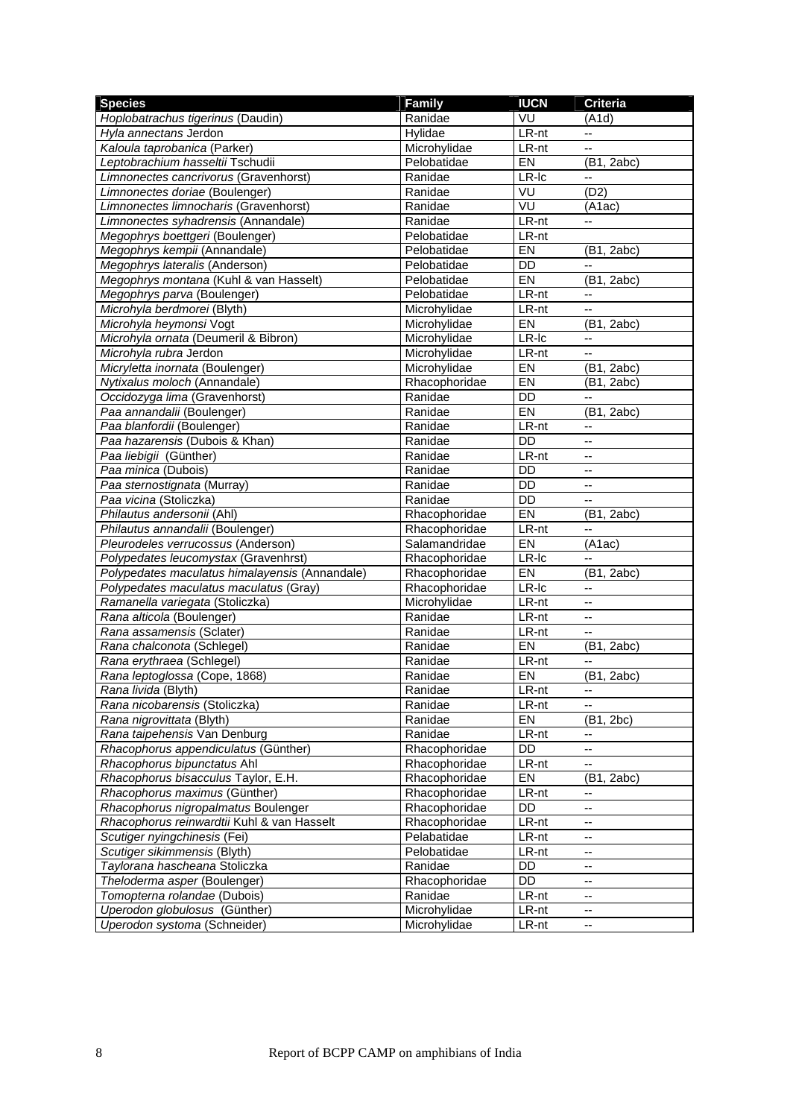| <b>Species</b>                                 | Family        | <b>IUCN</b> | <b>Criteria</b>          |
|------------------------------------------------|---------------|-------------|--------------------------|
| Hoplobatrachus tigerinus (Daudin)              | Ranidae       | VU          | (A1d)                    |
| Hyla annectans Jerdon                          | Hylidae       | LR-nt       |                          |
| Kaloula taprobanica (Parker)                   | Microhylidae  | LR-nt       | u.                       |
| Leptobrachium hasseltii Tschudii               | Pelobatidae   | EN          | (B1, 2abc)               |
| Limnonectes cancrivorus (Gravenhorst)          | Ranidae       | LR-Ic       | -−                       |
| Limnonectes doriae (Boulenger)                 | Ranidae       | VU          | (D2)                     |
| Limnonectes limnocharis (Gravenhorst)          | Ranidae       | VU          | (A1ac)                   |
| Limnonectes syhadrensis (Annandale)            | Ranidae       | LR-nt       | --                       |
| Megophrys boettgeri (Boulenger)                | Pelobatidae   | LR-nt       |                          |
| Megophrys kempii (Annandale)                   | Pelobatidae   | EN          | (B1, 2abc)               |
| Megophrys lateralis (Anderson)                 | Pelobatidae   | DD          |                          |
| Megophrys montana (Kuhl & van Hasselt)         | Pelobatidae   | EN          | (B1, 2abc)               |
| Megophrys parva (Boulenger)                    | Pelobatidae   | LR-nt       | --                       |
| Microhyla berdmorei (Blyth)                    | Microhylidae  | LR-nt       | --                       |
| Microhyla heymonsi Vogt                        | Microhylidae  | EN          | (B1, 2abc)               |
| Microhyla ornata (Deumeril & Bibron)           | Microhylidae  | LR-Ic       | $\overline{\phantom{a}}$ |
| Microhyla rubra Jerdon                         | Microhylidae  | LR-nt       | $-$                      |
| Micryletta inornata (Boulenger)                | Microhylidae  | EN          | (B1, 2abc)               |
| Nytixalus moloch (Annandale)                   | Rhacophoridae | EN          | (B1, 2abc)               |
| Occidozyga lima (Gravenhorst)                  | Ranidae       | <b>DD</b>   | $\overline{a}$           |
| Paa annandalii (Boulenger)                     | Ranidae       | EN          | (B1, 2abc)               |
| Paa blanfordii (Boulenger)                     | Ranidae       | LR-nt       | --                       |
| Paa hazarensis (Dubois & Khan)                 | Ranidae       | <b>DD</b>   | --                       |
| Paa liebigii (Günther)                         | Ranidae       | LR-nt       | --                       |
| Paa minica (Dubois)                            | Ranidae       | DD          | --                       |
| Paa sternostignata (Murray)                    | Ranidae       | DD          | $-$                      |
| Paa vicina (Stoliczka)                         | Ranidae       | <b>DD</b>   |                          |
| Philautus andersonii (Ahl)                     | Rhacophoridae | EN          | (B1, 2abc)               |
| Philautus annandalii (Boulenger)               | Rhacophoridae | LR-nt       | $-$                      |
| Pleurodeles verrucossus (Anderson)             | Salamandridae | EN          | (A1ac)                   |
| Polypedates leucomystax (Gravenhrst)           | Rhacophoridae | LR-Ic       | $-$                      |
| Polypedates maculatus himalayensis (Annandale) | Rhacophoridae | EN          | (B1, 2abc)               |
| Polypedates maculatus maculatus (Gray)         | Rhacophoridae | LR-Ic       | --                       |
| Ramanella variegata (Stoliczka)                | Microhylidae  | LR-nt       | цú.                      |
| Rana alticola (Boulenger)                      | Ranidae       | LR-nt       | --                       |
| Rana assamensis (Sclater)                      | Ranidae       | LR-nt       | $-$                      |
| Rana chalconota (Schlegel)                     | Ranidae       | EN          | (B1, 2abc)               |
| Rana erythraea (Schlegel)                      | Ranidae       | LR-nt       | --                       |
| Rana leptoglossa (Cope, 1868)                  | Ranidae       | EN          | (B1, 2abc)               |
| Rana livida (Blyth)                            | Ranidae       | LR-nt       |                          |
| Rana nicobarensis (Stoliczka)                  | Ranidae       | LR-nt       | --                       |
| Rana nigrovittata (Blyth)                      | Ranidae       | EN          | (B1, 2bc)                |
| Rana taipehensis Van Denburg                   | Ranidae       | LR-nt       | ۰.                       |
| Rhacophorus appendiculatus (Günther)           | Rhacophoridae | DD          | -−                       |
| Rhacophorus bipunctatus Ahl                    | Rhacophoridae | LR-nt       |                          |
| Rhacophorus bisacculus Taylor, E.H.            | Rhacophoridae | EN          | (B1, 2abc)               |
| Rhacophorus maximus (Günther)                  | Rhacophoridae | LR-nt       | --                       |
| Rhacophorus nigropalmatus Boulenger            | Rhacophoridae | DD          | --                       |
| Rhacophorus reinwardtii Kuhl & van Hasselt     | Rhacophoridae | LR-nt       | ۰.                       |
| Scutiger nyingchinesis (Fei)                   | Pelabatidae   | LR-nt       | --                       |
| Scutiger sikimmensis (Blyth)                   | Pelobatidae   | LR-nt       | --                       |
| Taylorana hascheana Stoliczka                  | Ranidae       | DD          |                          |
| Theloderma asper (Boulenger)                   | Rhacophoridae | DD          | ц.                       |
| Tomopterna rolandae (Dubois)                   | Ranidae       | LR-nt       | --                       |
| Uperodon globulosus (Günther)                  | Microhylidae  | LR-nt       | --                       |
| Uperodon systoma (Schneider)                   | Microhylidae  | LR-nt       | $\overline{\phantom{a}}$ |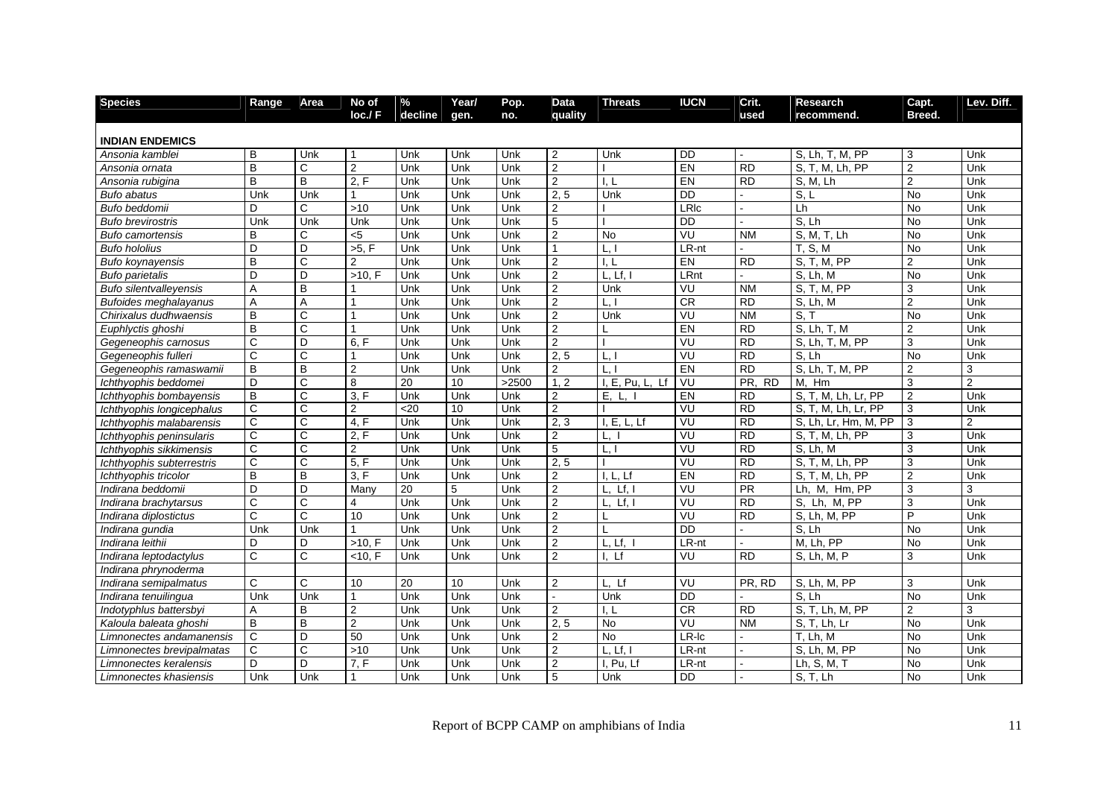| <b>Species</b>                | Range          | Area                  | No of          | %       | Year/ | Pop.  | Data           | <b>Threats</b>      | <b>IUCN</b>     | Crit.           | <b>Research</b>           | Capt.          | Lev. Diff.     |
|-------------------------------|----------------|-----------------------|----------------|---------|-------|-------|----------------|---------------------|-----------------|-----------------|---------------------------|----------------|----------------|
|                               |                |                       | loc./F         | decline | gen.  | no.   | quality        |                     |                 | used            | recommend.                | Breed.         |                |
| <b>INDIAN ENDEMICS</b>        |                |                       |                |         |       |       |                |                     |                 |                 |                           |                |                |
| Ansonia kamblei               | B              | Unk                   |                | Unk     | Unk   | Unk   | 2              | Unk                 | <b>DD</b>       |                 | S, Lh, T, M, PP           | 3              | Unk            |
| Ansonia ornata                | B              | C                     | $\overline{2}$ | Unk     | Unk   | Unk   | $\overline{2}$ |                     | EN              | <b>RD</b>       | S, T, M, Lh, PP           | $\overline{2}$ | Unk            |
| Ansonia rubigina              | B              | $\overline{B}$        | 2, F           | Unk     | Unk   | Unk   | $\overline{2}$ | 1.1                 | EN              | <b>RD</b>       | S, M, Lh                  | $\overline{2}$ | Unk            |
| <b>Bufo abatus</b>            | Unk            | Unk                   |                | Unk     | Unk   | Unk   | 2, 5           | Unk                 | $\overline{DD}$ |                 | S.L                       | <b>No</b>      | Unk            |
| Bufo beddomii                 | D              | C                     | $>10$          | Unk     | Unk   | Unk   | $\overline{2}$ |                     | LRIc            |                 | Lh                        | No             | Unk            |
| <b>Bufo brevirostris</b>      | Unk            | Unk                   | Unk            | Unk     | Unk   | Unk   | 5              |                     | $\overline{DD}$ |                 | S, Lh                     | <b>No</b>      | Unk            |
| <b>Bufo camortensis</b>       | B              | C                     | $5$            | Unk     | Unk   | Unk   | $\overline{2}$ | <b>No</b>           | VU              | <b>NM</b>       | S, M, T, Lh               | <b>No</b>      | Unk            |
| <b>Bufo hololius</b>          | D              | D                     | >5. F          | Unk     | Unk   | Unk   | 1              | L.1                 | LR-nt           |                 | <b>T. S. M</b>            | <b>No</b>      | Unk            |
| <b>Bufo koynayensis</b>       | $\, {\sf B}$   | $\mathsf{C}$          | 2              | Unk     | Unk   | Unk   | $\overline{2}$ | 1, L                | EN              | <b>RD</b>       | S, T, M, PP               | $\overline{2}$ | Unk            |
| <b>Bufo parietalis</b>        | D              | D                     | >10. F         | Unk     | Unk   | Unk   | $\overline{2}$ | L, Lf.              | LRnt            |                 | S. Lh. M                  | $\overline{N}$ | Unk            |
| <b>Bufo silentvalleyensis</b> | A              | B                     |                | Unk     | Unk   | Unk   | $\overline{2}$ | Unk                 | VU              | <b>NM</b>       | S. T. M. PP               | 3              | Unk            |
| <b>Bufoides meghalayanus</b>  | $\overline{A}$ | A                     | $\mathbf{1}$   | Unk     | Unk   | Unk   | $\overline{2}$ | L.                  | CR              | $\overline{RD}$ | S. Lh. M                  | $\overline{2}$ | Unk            |
| Chirixalus dudhwaensis        | B              | C                     |                | Unk     | Unk   | Unk   | $\overline{c}$ | Unk                 | VU              | <b>NM</b>       | S, T                      | No             | Unk            |
| Euphlyctis ghoshi             | B              | C                     |                | Unk     | Unk   | Unk   | $\overline{2}$ |                     | E               | <b>RD</b>       | $\overline{S, Lh, T}$ , M | $\overline{2}$ | Unk            |
| Gegeneophis carnosus          | $\overline{c}$ | D                     | 6. F           | Unk     | Unk   | Unk   | $\overline{c}$ |                     | VU              | $\overline{RD}$ | S. Lh. T. M. PP           | 3              | Unk            |
| Gegeneophis fulleri           | $\mathbf C$    | C                     | 1              | Unk     | Unk   | Unk   | 2, 5           | L.I                 | VU              | <b>RD</b>       | S, Lh                     | <b>No</b>      | Unk            |
| Gegeneophis ramaswamii        | B              | B                     | 2              | Unk     | Unk   | Unk   | $\overline{2}$ | $\lfloor . \rfloor$ | EN              | <b>RD</b>       | S. Lh. T. M. PP           | $\overline{2}$ | 3              |
| Ichthyophis beddomei          | D              | C                     | 8              | 20      | 10    | >2500 | 1.2            | I, E, Pu, L, Lf     | VU              | PR, RD          | M. Hm                     | 3              | $\overline{2}$ |
| Ichthyophis bombayensis       | B              | C                     | 3, F           | Unk     | Unk   | Unk   | 2              | E, L,               | EN              | <b>RD</b>       | S, T, M, Lh, Lr, PP       | $\overline{2}$ | Unk            |
| Ichthyophis longicephalus     | $\overline{C}$ | $\overline{\text{c}}$ | 2              | <20     | 10    | Unk   | $\overline{2}$ |                     | VU              | $\overline{RD}$ | S. T. M. Lh. Lr. PP       | 3              | Unk            |
| Ichthyophis malabarensis      | $\mathsf{C}$   | C                     | 4, F           | Unk     | Unk   | Unk   | 2, 3           | I, E, L, Lf         | VU              | $\overline{RD}$ | S, Lh, Lr, Hm, M, PP      | 3              | $\overline{2}$ |
| Ichthyophis peninsularis      | $\mathbf C$    | C                     | 2, F           | Unk     | Unk   | Unk   | 2              | L.                  | VU              | <b>RD</b>       | S, T, M, Lh, PP           | 3              | Unk            |
| Ichthyophis sikkimensis       | $\mathbf C$    | C                     | 2              | Unk     | Unk   | Unk   | 5              | L.1                 | $\overline{V}$  | $\overline{RD}$ | S. Lh. M                  | 3              | Unk            |
| Ichthyophis subterrestris     | $\mathbf C$    | C                     | 5, F           | Unk     | Unk   | Unk   | 2, 5           |                     | VU              | <b>RD</b>       | S, T, M, Lh, PP           | 3              | Unk            |
| Ichthyophis tricolor          | $\, {\sf B}$   | B                     | 3, F           | Unk     | Unk   | Unk   | $\overline{2}$ | 1. L. Lf            | EN              | <b>RD</b>       | S, T, M, Lh, PP           | $\overline{2}$ | Unk            |
| Indirana beddomii             | D              | D                     | Many           | 20      | 5     | Unk   | $\overline{2}$ | Lf.                 | VU              | <b>PR</b>       | Lh, M, Hm, PP             | 3              | 3              |
| Indirana brachytarsus         | $\mathbf C$    | C                     | 4              | Unk     | Unk   | Unk   | $\overline{2}$ | Lf, I               | VU              | <b>RD</b>       | S. Lh. M. PP              | 3              | Unk            |
| Indirana diplostictus         | C              | C                     | 10             | Unk     | Unk   | Unk   | $\overline{2}$ | L                   | VU              | RD              | S, Lh, M, PP              | P              | Unk            |
| Indirana qundia               | Unk            | Unk                   |                | Unk     | Unk   | Unk   | 2              | L                   | $\overline{DD}$ | $\blacksquare$  | S, Lh                     | No             | Unk            |
| Indirana leithii              | D              | D                     | >10. F         | Unk     | Unk   | Unk   | $\overline{2}$ | L, Lf,              | $LR-nt$         |                 | M, Lh, PP                 | $\overline{N}$ | Unk            |
| Indirana leptodactylus        | C              | C                     | $<$ 10, F      | Unk     | Unk   | Unk   | $\overline{2}$ | $L_{\rm L}$         | VU              | <b>RD</b>       | S. Lh, M, P               | 3              | Unk            |
| Indirana phrynoderma          |                |                       |                |         |       |       |                |                     |                 |                 |                           |                |                |
| Indirana semipalmatus         | C              | C                     | 10             | 20      | 10    | Unk   | $\overline{2}$ | L. Lf               | VU              | PR. RD          | S, Lh, M, PP              | 3              | Unk            |
| Indirana tenuilingua          | Unk            | Unk                   | 1              | Unk     | Unk   | Unk   |                | Unk                 | <b>DD</b>       |                 | S. Lh                     | No             | Unk            |
| Indotyphlus battersbyi        | Α              | B                     | 2              | Unk     | Unk   | Unk   | 2              | 1. L                | <b>CR</b>       | <b>RD</b>       | S, T, Lh, M, PP           | 2              | 3              |
| Kaloula baleata ghoshi        | B              | $\overline{B}$        | $\overline{2}$ | Unk     | Unk   | Unk   | 2, 5           | <b>No</b>           | VU              | <b>NM</b>       | S, T, Lh, Lr              | <b>No</b>      | Unk            |
| Limnonectes andamanensis      | C              | D                     | 50             | Unk     | Unk   | Unk   | $\overline{2}$ | <b>No</b>           | $LR -$ Ic       |                 | $T, Lh, \overline{M}$     | No             | Unk            |
| Limnonectes brevipalmatas     | C              | C                     | $>10$          | Unk     | Unk   | Unk   | 2              | $L.$ Lf.            | LR-nt           |                 | S. Lh, M, PP              | <b>No</b>      | Unk            |
| Limnonectes keralensis        | D              | D                     | 7, F           | Unk     | Unk   | Unk   | $\overline{2}$ | I, Pu, Lf           | LR-nt           | $\overline{a}$  | Lh, S, M, T               | No             | Unk            |
| Limnonectes khasiensis        | Unk            | Unk                   |                | Unk     | Unk   | Unk   | 5              | Unk                 | <b>DD</b>       |                 | S, T, Lh                  | <b>No</b>      | Unk            |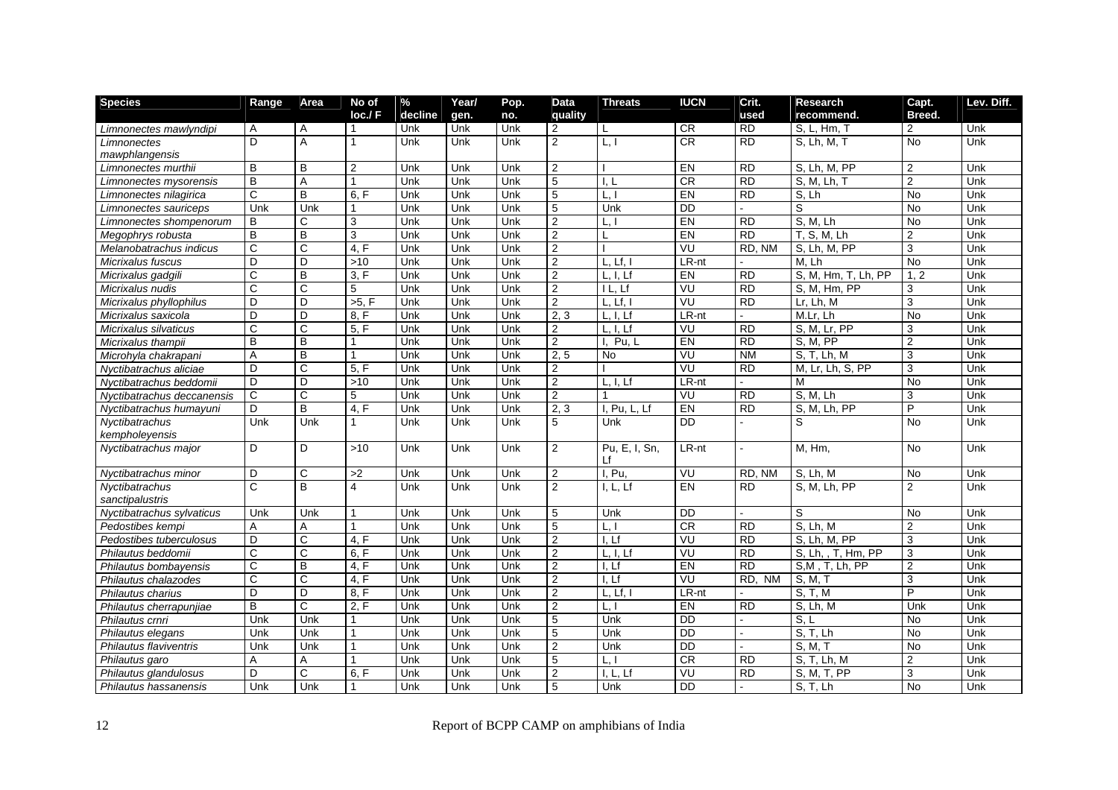| <b>Species</b>             | Range          | Area                  | No of                   | $\%$    | Year/ | Pop. | Data           | <b>Threats</b>      | <b>IUCN</b>     | Crit.            | Research            | Capt.          | Lev. Diff. |
|----------------------------|----------------|-----------------------|-------------------------|---------|-------|------|----------------|---------------------|-----------------|------------------|---------------------|----------------|------------|
|                            |                |                       | loc.f F                 | decline | gen.  | no.  | quality        |                     |                 | used             | recommend.          | Breed.         |            |
| Limnonectes mawlyndipi     | A              | A                     | 1                       | Unk     | Unk   | Unk  | 2              | L                   | <b>CR</b>       | <b>RD</b>        | S, L, Hm, 1         | 2              | Unk        |
| Limnonectes                | D              | A                     | 1                       | Unk     | Unk   | Unk  | $\overline{2}$ | L, I                | CR              | <b>RD</b>        | S. Lh, M, T         | <b>No</b>      | Unk        |
| mawphlangensis             |                |                       |                         |         |       |      |                |                     |                 |                  |                     |                |            |
| Limnonectes murthii        | B              | B                     | $\overline{2}$          | Unk     | Unk   | Unk  | $\overline{2}$ |                     | EN              | <b>RD</b>        | S. Lh, M, PP        | $\overline{2}$ | Unk        |
| Limnonectes mysorensis     | B              | A                     | $\overline{1}$          | Unk     | Unk   | Unk  | 5              | l. L                | CR              | $\overline{RD}$  | S. M. Lh. T         | $\overline{2}$ | Unk        |
| Limnonectes nilagirica     | C              | B                     | 6, F                    | Unk     | Unk   | Unk  | 5              | L, I                | EN              | <b>RD</b>        | S, Lh               | <b>No</b>      | Unk        |
| Limnonectes sauriceps      | Unk            | Unk                   |                         | Unk     | Unk   | Unk  | 5              | Unk                 | $\overline{DD}$ |                  | S                   | <b>No</b>      | Unk        |
| Limnonectes shompenorum    | B              | C.                    | 3                       | Unk     | Unk   | Unk  | $\overline{2}$ | L, I                | EN              | <b>RD</b>        | S. M. Lh            | <b>No</b>      | Unk        |
| Megophrys robusta          | B              | B                     | 3                       | Unk     | Unk   | Unk  | $\overline{2}$ | L                   | EN              | $\overline{RD}$  | T, S, M, Lh         | $\overline{2}$ | Unk        |
| Melanobatrachus indicus    | C              | $\overline{\text{c}}$ | 4. F                    | Unk     | Unk   | Unk  | $\overline{2}$ |                     | VU              | RD. NM           | S, Lh, M, PP        | $\overline{3}$ | Unk        |
| Micrixalus fuscus          | D              | D                     | >10                     | Unk     | Unk   | Unk  | 2              | L, Lf, I            | LR-nt           |                  | M. Lh               | $\overline{N}$ | Unk        |
| Micrixalus gadgili         | C              | B                     | 3. F                    | Unk     | Unk   | Unk  | $\overline{2}$ | L. I. Lf            | EN              | <b>RD</b>        | S, M, Hm, T, Lh, PP | 1, 2           | Unk        |
| Micrixalus nudis           | $\mathsf{C}$   | C                     | 5                       | Unk     | Unk   | Unk  | $\overline{2}$ | I L, Lf             | VU              | <b>RD</b>        | S, M, Hm, PP        | 3              | Unk        |
| Micrixalus phyllophilus    | D              | D                     | >5. F                   | Unk     | Unk   | Unk  | 2              | $L.$ Lf. $I$        | VU              | <b>RD</b>        | Lr. Lh. M           | 3              | Unk        |
| Micrixalus saxicola        | D              | D                     | 8, F                    | Unk     | Unk   | Unk  | 2, 3           | L, I, Lf            | LR-nt           |                  | M.Lr. Lh            | No             | Unk        |
| Micrixalus silvaticus      | C              | C                     | 5. F                    | Unk     | Unk   | Unk  | $\overline{2}$ | L, I, Lf            | VU              | <b>RD</b>        | S, M, Lr, PP        | 3              | Unk        |
| Micrixalus thampii         | $\overline{B}$ | B                     | $\mathbf 1$             | Unk     | Unk   | Unk  | $\overline{2}$ | Pu.L<br>I.          | EN              | $\overline{RD}$  | <b>S. M. PP</b>     | $\overline{2}$ | Unk        |
| Microhyla chakrapani       | $\overline{A}$ | B                     |                         | Unk     | Unk   | Unk  | 2, 5           | <b>No</b>           | VU              | <b>NM</b>        | S, T, Lh, M         | 3              | Unk        |
| Nyctibatrachus aliciae     | D              | C                     | 5. F                    | Unk     | Unk   | Unk  | $\overline{2}$ |                     | VU              | $\overline{RD}$  | M, Lr, Lh, S, PP    | 3              | Unk        |
| Nvctibatrachus beddomii    | D              | D                     | >10                     | Unk     | Unk   | Unk  | $\overline{2}$ | L, I, Lf            | $LR-nt$         |                  | M                   | <b>No</b>      | Unk        |
| Nyctibatrachus deccanensis | $\mathsf{C}$   | C.                    | 5                       | Unk     | Unk   | Unk  | $\overline{2}$ |                     | VU              | <b>RD</b>        | S, M, Lh            | 3              | Unk        |
| Nyctibatrachus humayuni    | D              | B                     | 4. F                    | Unk     | Unk   | Unk  | 2, 3           | I, Pu, L, Lf        | EN              | <b>RD</b>        | S, M, Lh, PP        | P              | Unk        |
| Nyctibatrachus             | Unk            | Unk                   |                         | Unk     | Unk   | Unk  | 5              | Unk                 | <b>DD</b>       |                  | S                   | No             | Unk        |
| kempholeyensis             |                |                       |                         |         |       |      |                |                     |                 |                  |                     |                |            |
| Nyctibatrachus major       | D              | D                     | >10                     | Unk     | Unk   | Unk  | $\overline{2}$ | Pu, E, I, Sn,<br>Lf | LR-nt           | $\mathbf{r}$     | M, Hm,              | <b>No</b>      | Unk        |
| Nyctibatrachus minor       | D              | C                     | >2                      | Unk     | Unk   | Unk  | 2              | I. Pu.              | VU              | RD, NM           | S, Lh, M            | No             | Unk        |
| Nyctibatrachus             | $\mathbf C$    | B.                    | $\overline{\mathbf{A}}$ | Unk     | Unk   | Unk  | $\overline{2}$ | I, L, Lf            | EN              | <b>RD</b>        | S, M, Lh, PP        | $\overline{2}$ | Unk        |
| sanctipalustris            |                |                       |                         |         |       |      |                |                     |                 |                  |                     |                |            |
| Nyctibatrachus sylvaticus  | Unk            | Unk                   | $\mathbf 1$             | Unk     | Unk   | Unk  | 5              | Unk                 | <b>DD</b>       | $\mathbf{r}$     | S                   | <b>No</b>      | Unk        |
| Pedostibes kempi           | Α              | A                     |                         | Unk     | Unk   | Unk  | 5              | L, I                | CR              | <b>RD</b>        | S. Lh. M            | $\overline{2}$ | Unk        |
| Pedostibes tuberculosus    | D.             | C                     | 4, F                    | Unk     | Unk   | Unk  | $\overline{2}$ | L <sub>Lf</sub>     | VU              | <b>RD</b>        | S, Lh, M, PP        | 3              | Unk        |
| Philautus beddomii         | C              | С                     | 6, F                    | Unk     | Unk   | Unk  | $\overline{2}$ | L, I, Lf            | VU              | R <sub>D</sub>   | S, Lh, , T, Hm, PP  | 3              | Unk        |
| Philautus bombayensis      | C              | B                     | 4, F                    | Unk     | Unk   | Unk  | $\overline{2}$ | I, Lf               | EN              | R <sub>D</sub>   | S.M. T. Lh. PP      | $\overline{2}$ | Unk        |
| Philautus chalazodes       | $\mathbf C$    | C.                    | 4. F                    | Unk     | Unk   | Unk  | $\overline{2}$ | I. Lf               | VU              | RD.<br><b>NM</b> | S, M, T             | 3              | Unk        |
| Philautus charius          | D              | D                     | 8, F                    | Unk     | Unk   | Unk  | $\overline{2}$ | L, Lf, I            | LR-nt           |                  | S. T. M             | P              | Unk        |
| Philautus cherrapunjiae    | B              | C                     | 2, F                    | Unk     | Unk   | Unk  | $\overline{2}$ | L, I                | EN              | <b>RD</b>        | S. Lh, M            | Unk            | Unk        |
| Philautus crnri            | Unk            | Unk                   | 1                       | Unk     | Unk   | Unk  | 5              | Unk                 | $\overline{DD}$ |                  | S, L                | <b>No</b>      | Unk        |
| Philautus elegans          | Unk            | Unk                   | $\mathbf{1}$            | Unk     | Unk   | Unk  | 5              | Unk                 | <b>DD</b>       |                  | S, T, Lh            | No             | Unk        |
| Philautus flaviventris     | Unk            | Unk                   |                         | Unk     | Unk   | Unk  | $\overline{2}$ | Unk                 | $\overline{DD}$ |                  | S, M, T             | <b>No</b>      | Unk        |
| Philautus garo             | A              | A                     | $\mathbf 1$             | Unk     | Unk   | Unk  | 5              | L.                  | CR              | <b>RD</b>        | S. T. Lh. M         | $\overline{2}$ | Unk        |
| Philautus glandulosus      | D              | $\overline{\text{c}}$ | 6. F                    | Unk     | Unk   | Unk  | $\overline{2}$ | I. L. Lf            | VU              | $\overline{RD}$  | S. M. T. PP         | $\overline{3}$ | Unk        |
| Philautus hassanensis      | Unk            | Unk                   |                         | Unk     | Unk   | Unk  | 5              | Unk                 | <b>DD</b>       |                  | S, T, Lh            | <b>No</b>      | Unk        |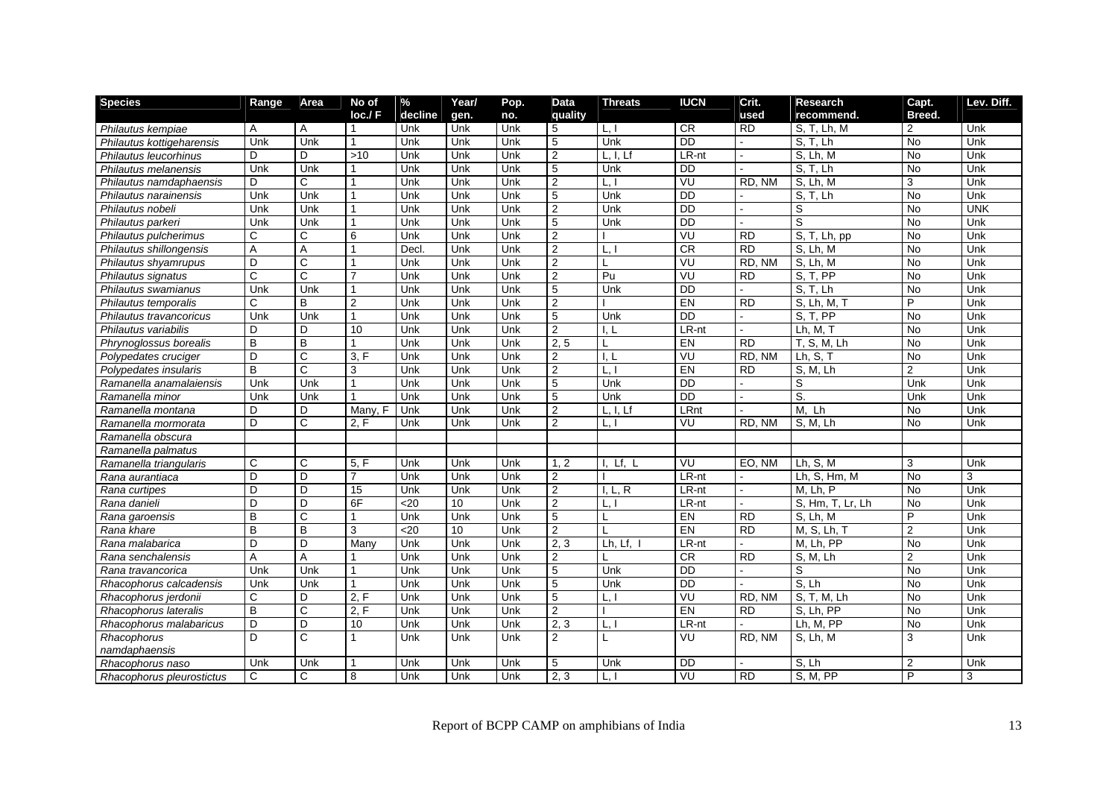| <b>Species</b>            | Range          | Area                  | No of           | $\frac{1}{\sqrt{2}}$ | Year/ | Pop. | Data             | <b>Threats</b>        | <b>IUCN</b>     | Crit.               | <b>Research</b>  | Capt.          | Lev. Diff.     |
|---------------------------|----------------|-----------------------|-----------------|----------------------|-------|------|------------------|-----------------------|-----------------|---------------------|------------------|----------------|----------------|
|                           |                |                       | loc.f F         | decline              | gen.  | no.  | quality          |                       |                 | used                | recommend.       | Breed.         |                |
| Philautus kempiae         | A              | A                     | 1               | Unk                  | Unk   | Unk  | 5                | L, I                  | <b>CR</b>       | RD.                 | S. T. Lh. M      | 2              | Unk            |
| Philautus kottigeharensis | Unk            | Unk                   | $\overline{1}$  | Unk                  | Unk   | Unk  | 5                | Unk                   | <b>DD</b>       |                     | S, T, Lh         | <b>No</b>      | Unk            |
| Philautus leucorhinus     | D              | D.                    | >10             | Unk                  | Unk   | Unk  | 2                | $L, I, \overline{Lf}$ | LR-nt           |                     | S, Lh, M         | <b>No</b>      | Unk            |
| Philautus melanensis      | Unk            | Unk                   | $\overline{1}$  | Unk                  | Unk   | Unk  | 5                | Unk                   | <b>DD</b>       |                     | S. T. Lh         | <b>No</b>      | Unk            |
| Philautus namdaphaensis   | D              | C.                    | 1               | Unk                  | Unk   | Unk  | $\overline{2}$   | L.I                   | VU              | RD. NM              | S. Lh. M         | $\mathbf{3}$   | Unk            |
| Philautus narainensis     | Unk            | Unk                   | 1               | Unk                  | Unk   | Unk  | 5                | Unk                   | <b>DD</b>       |                     | S. T. Lh         | <b>No</b>      | Unk            |
| Philautus nobeli          | Unk            | Unk                   |                 | Unk                  | Unk   | Unk  | $\overline{2}$   | Unk                   | $\overline{DD}$ |                     | S                | <b>No</b>      | <b>UNK</b>     |
| Philautus parkeri         | Unk            | Unk                   | $\mathbf{1}$    | Unk                  | Unk   | Unk  | 5                | Unk                   | $\overline{DD}$ |                     | S                | <b>No</b>      | Unk            |
| Philautus pulcherimus     | C              | С                     | 6               | Unk                  | Unk   | Unk  | $\overline{2}$   |                       | VU              | <b>RD</b>           | S, T, Lh, pp     | <b>No</b>      | Unk            |
| Philautus shillongensis   | A              | A                     | $\mathbf 1$     | Decl                 | Unk   | Unk  | $\overline{2}$   | L.                    | CR              | $\overline{RD}$     | S. Lh. M         | $\overline{N}$ | Unk            |
| Philautus shyamrupus      | D              | C                     | 1               | Unk                  | Unk   | Unk  | $\overline{2}$   | L                     | VU              | RD, NM              | S. Lh, M         | No             | Unk            |
| Philautus signatus        | $\overline{C}$ | $\overline{C}$        | $\overline{7}$  | Unk                  | Unk   | Unk  | $\overline{2}$   | Pu                    | VU              | R <sub>D</sub>      | S, T, PP         | <b>No</b>      | Unk            |
| Philautus swamianus       | Unk            | Unk                   | 1               | Unk                  | Unk   | Unk  | 5                | Unk                   | $\overline{DD}$ |                     | S, T, Lh         | <b>No</b>      | Unk            |
| Philautus temporalis      | C              | B                     | $\overline{2}$  | Unk                  | Unk   | Unk  | $\overline{2}$   |                       | EN              | <b>RD</b>           | S. Lh. M. T      | P              | Unk            |
| Philautus travancoricus   | Unk            | Unk                   | $\mathbf{1}$    | Unk                  | Unk   | Unk  | 5                | Unk                   | $\overline{DD}$ | $\mathbf{r}$        | S, T, PP         | <b>No</b>      | Unk            |
| Philautus variabilis      | D              | D                     | 10              | Unk                  | Unk   | Unk  | $\overline{2}$   | 1. L                  | $LR-nt$         |                     | Lh, M, T         | $\overline{N}$ | Unk            |
| Phrynoglossus borealis    | $\overline{B}$ | B                     | $\mathbf 1$     | Unk                  | Unk   | Unk  | 2, 5             | L                     | EN              | $\overline{RD}$     | T, S, M, Lh      | $\overline{N}$ | Unk            |
| Polypedates cruciger      | D              | C                     | 3. F            | Unk                  | Unk   | Unk  | $\overline{2}$   | I, L                  | VU              | RD, NM              | Lh, S, T         | $\overline{N}$ | Unk            |
| Polypedates insularis     | B              | $\overline{\text{c}}$ | 3               | Unk                  | Unk   | Unk  | $\overline{2}$   | L.                    | EN              | $\overline{RD}$     | S. M. Lh         | $\overline{2}$ | Unk            |
| Ramanella anamalaiensis   | Unk            | Unk                   | $\overline{1}$  | Unk                  | Unk   | Unk  | 5                | Unk                   | $\overline{DD}$ |                     | S                | Unk            | Unk            |
| Ramanella minor           | Unk            | Unk                   |                 | Unk                  | Unk   | Unk  | 5                | Unk                   | $\overline{DD}$ |                     | S.               | Unk            | Unk            |
| Ramanella montana         | D              | D                     | Many, F         | Unk                  | Unk   | Unk  | $\overline{2}$   | L. I. Lf              | LRnt            |                     | M. Lh            | <b>No</b>      | Unk            |
| Ramanella mormorata       | D              | C.                    | 2. F            | Unk                  | Unk   | Unk  | $\overline{2}$   | L, I                  | VU              | $R\overline{D, NM}$ | S, M, Lh         | <b>No</b>      | Unk            |
| Ramanella obscura         |                |                       |                 |                      |       |      |                  |                       |                 |                     |                  |                |                |
| Ramanella palmatus        |                |                       |                 |                      |       |      |                  |                       |                 |                     |                  |                |                |
| Ramanella triangularis    | C              | C                     | 5, F            | Unk                  | Unk   | Unk  | 1, 2             | I, Lf, L              | VU              | EO. NM              | Lh, S, M         | 3              | Unk            |
| Rana aurantiaca           | D              | D.                    |                 | Unk                  | Unk   | Unk  | 2                |                       | $LR-nt$         |                     | Lh, S, Hm, M     | <b>No</b>      | $\overline{3}$ |
| Rana curtipes             | $\overline{D}$ | D                     | $\overline{15}$ | Unk                  | Unk   | Unk  | $\overline{2}$   | I, L, R               | $LR-nt$         |                     | $M.$ Lh. $P$     | $\overline{N}$ | Unk            |
| Rana danieli              | D              | D                     | 6F              | $20$                 | 10    | Unk  | $\overline{2}$   | L.                    | LR-nt           |                     | S, Hm, T, Lr, Lh | No             | Unk            |
| Rana garoensis            | B              | C.                    | $\mathbf{1}$    | Unk                  | Unk   | Unk  | 5                | L                     | EN              | <b>RD</b>           | S, Lh, M         | $\overline{P}$ | Unk            |
| Rana khare                | B              | B                     | 3               | $20$                 | 10    | Unk  | $\overline{2}$   | L                     | EN              | <b>RD</b>           | M, S, Lh, T      | $\overline{2}$ | Unk            |
| Rana malabarica           | D              | D.                    | Many            | Unk                  | Unk   | Unk  | 2, 3             | Lh. Lf.               | LR-nt           | $\sim$              | M, Lh, PP        | <b>No</b>      | Unk            |
| Rana senchalensis         | A              | A                     |                 | Unk                  | Unk   | Unk  | $\overline{2}$   |                       | CR              | $\overline{RD}$     | S, M, Lh         | $\overline{2}$ | Unk            |
| Rana travancorica         | Unk            | Unk                   | 1               | Unk                  | Unk   | Unk  | 5                | Unk                   | <b>DD</b>       |                     | S                | <b>No</b>      | Unk            |
| Rhacophorus calcadensis   | Unk            | Unk                   | $\overline{1}$  | Unk                  | Unk   | Unk  | 5                | Unk                   | <b>DD</b>       |                     | S. Lh            | <b>No</b>      | Unk            |
| Rhacophorus jerdonii      | C              | D.                    | 2, F            | Unk                  | Unk   | Unk  | 5                | L.                    | VU              | RD, NM              | S, T, M, Lh      | $\overline{N}$ | Unk            |
| Rhacophorus lateralis     | B              | C.                    | 2. F            | Unk                  | Unk   | Unk  | $\overline{2}$   |                       | EN              | <b>RD</b>           | S. Lh. PP        | <b>No</b>      | Unk            |
| Rhacophorus malabaricus   | D              | D                     | 10              | Unk                  | Unk   | Unk  | 2, 3             | L.                    | LR-nt           |                     | Lh. M. PP        | <b>No</b>      | Unk            |
| Rhacophorus               | D.             | C.                    |                 | Unk                  | Unk   | Unk  | $\overline{2}$   | L                     | VU              | RD. NM              | S. Lh, M         | 3              | Unk            |
| namdaphaensis             |                |                       |                 |                      |       |      |                  |                       |                 |                     |                  |                |                |
| Rhacophorus naso          | Unk            | Unk                   |                 | Unk                  | Unk   | Unk  | 5                | Unk                   | <b>DD</b>       |                     | S, Lh            | $\overline{2}$ | Unk            |
| Rhacophorus pleurostictus | C              | C                     | 8               | Unk                  | Unk   | Unk  | $\overline{2,3}$ | L.I                   | VU              | <b>RD</b>           | S, M, PP         | P              | 3              |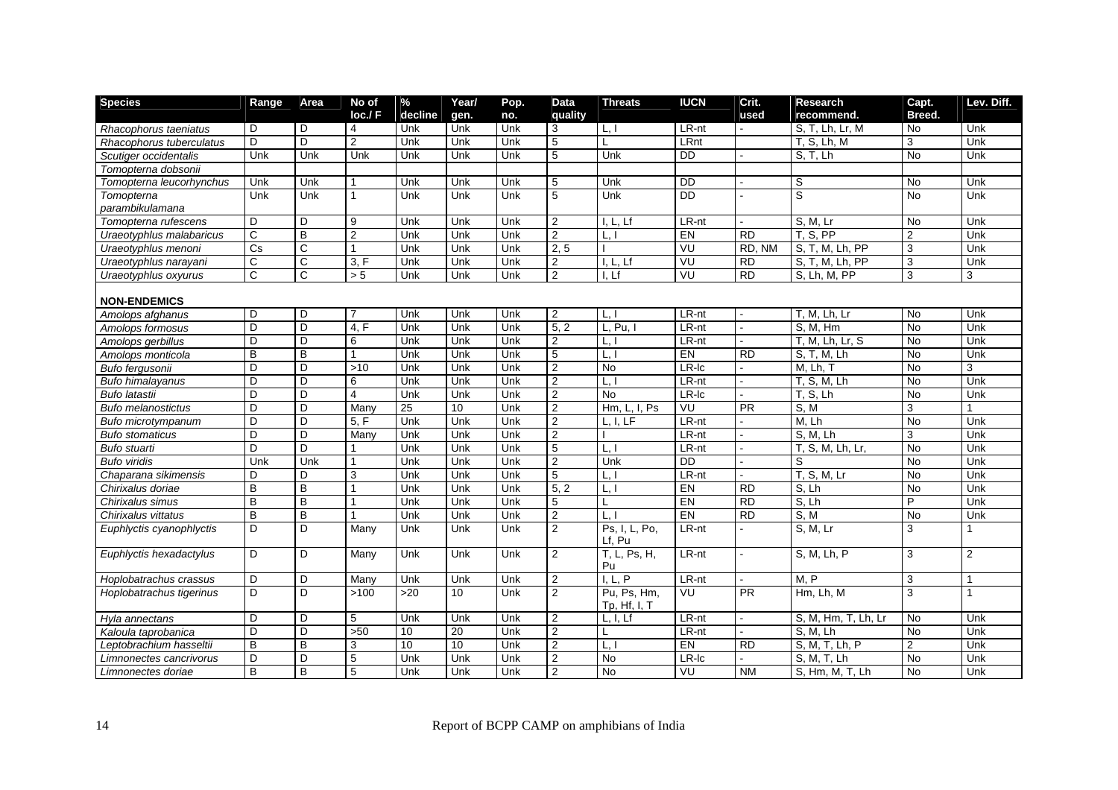| loc.f F<br>decline<br>Breed.<br>no.<br>quality<br>used<br>recommend.<br>gen.<br>$LR-nt$<br>Unk<br>D<br>D<br>Unk<br>Unk<br>Unk<br>3<br>L, I<br>S. T. Lh. Lr. M<br>No<br>Rhacophorus taeniatus<br>4<br>D<br>D<br>$\overline{2}$<br>Unk<br>5<br>LRnt<br>T, S, Lh, M<br>Unk<br>Unk<br>Unk<br>L<br>3<br>Rhacophorus tuberculatus<br>Unk<br>Unk<br>Unk<br>5<br>Unk<br><b>DD</b><br>S, T, Lh<br>No<br>Unk<br>Scutiger occidentalis<br>Unk<br>Unk<br>Unk<br>Tomopterna dobsonii<br><b>DD</b><br>S<br>Unk<br>Unk<br>Unk<br>Unk<br>Unk<br>5<br>Unk<br>No<br>Unk<br>Tomopterna leucorhynchus<br>$\mathbf{r}$<br>$\overline{5}$<br><b>DD</b><br>$\overline{s}$<br>Unk<br>Unk<br>Unk<br>Unk<br>Unk<br>Unk<br>Unk<br><b>No</b><br>Tomopterna<br>parambikulamana<br>D<br>D<br>Unk<br>Unk<br>$\overline{2}$<br>I, L, Lf<br>LR-nt<br>S, M, Lr<br><b>No</b><br>Unk<br>Tomopterna rufescens<br>9<br>Unk<br>B<br>$\overline{2}$<br>T, S, PP<br>C<br>2<br>EN<br><b>RD</b><br>$\overline{2}$<br>Unk<br>Unk<br>Unk<br>$\lfloor . \rfloor$<br>Unk<br>Uraeotyphlus malabaricus<br>VU<br>$\overline{Cs}$<br>C<br>Unk<br>2, 5<br>RD, NM<br>S, T, M, Lh, PP<br>3<br>Unk<br>Unk<br>Unk<br>Uraeotyphlus menoni | <b>Species</b>        | Range | Area | No of | $\%$ | Year/ | Pop. | <b>Data</b> | <b>Threats</b> | <b>IUCN</b> | Crit.     | <b>Research</b> | Capt. | Lev. Diff. |
|----------------------------------------------------------------------------------------------------------------------------------------------------------------------------------------------------------------------------------------------------------------------------------------------------------------------------------------------------------------------------------------------------------------------------------------------------------------------------------------------------------------------------------------------------------------------------------------------------------------------------------------------------------------------------------------------------------------------------------------------------------------------------------------------------------------------------------------------------------------------------------------------------------------------------------------------------------------------------------------------------------------------------------------------------------------------------------------------------------------------------------------------------------------------------------|-----------------------|-------|------|-------|------|-------|------|-------------|----------------|-------------|-----------|-----------------|-------|------------|
|                                                                                                                                                                                                                                                                                                                                                                                                                                                                                                                                                                                                                                                                                                                                                                                                                                                                                                                                                                                                                                                                                                                                                                                  |                       |       |      |       |      |       |      |             |                |             |           |                 |       |            |
|                                                                                                                                                                                                                                                                                                                                                                                                                                                                                                                                                                                                                                                                                                                                                                                                                                                                                                                                                                                                                                                                                                                                                                                  |                       |       |      |       |      |       |      |             |                |             |           |                 |       |            |
|                                                                                                                                                                                                                                                                                                                                                                                                                                                                                                                                                                                                                                                                                                                                                                                                                                                                                                                                                                                                                                                                                                                                                                                  |                       |       |      |       |      |       |      |             |                |             |           |                 |       |            |
|                                                                                                                                                                                                                                                                                                                                                                                                                                                                                                                                                                                                                                                                                                                                                                                                                                                                                                                                                                                                                                                                                                                                                                                  |                       |       |      |       |      |       |      |             |                |             |           |                 |       |            |
|                                                                                                                                                                                                                                                                                                                                                                                                                                                                                                                                                                                                                                                                                                                                                                                                                                                                                                                                                                                                                                                                                                                                                                                  |                       |       |      |       |      |       |      |             |                |             |           |                 |       |            |
|                                                                                                                                                                                                                                                                                                                                                                                                                                                                                                                                                                                                                                                                                                                                                                                                                                                                                                                                                                                                                                                                                                                                                                                  |                       |       |      |       |      |       |      |             |                |             |           |                 |       |            |
|                                                                                                                                                                                                                                                                                                                                                                                                                                                                                                                                                                                                                                                                                                                                                                                                                                                                                                                                                                                                                                                                                                                                                                                  |                       |       |      |       |      |       |      |             |                |             |           |                 |       |            |
|                                                                                                                                                                                                                                                                                                                                                                                                                                                                                                                                                                                                                                                                                                                                                                                                                                                                                                                                                                                                                                                                                                                                                                                  |                       |       |      |       |      |       |      |             |                |             |           |                 |       |            |
|                                                                                                                                                                                                                                                                                                                                                                                                                                                                                                                                                                                                                                                                                                                                                                                                                                                                                                                                                                                                                                                                                                                                                                                  |                       |       |      |       |      |       |      |             |                |             |           |                 |       |            |
|                                                                                                                                                                                                                                                                                                                                                                                                                                                                                                                                                                                                                                                                                                                                                                                                                                                                                                                                                                                                                                                                                                                                                                                  |                       |       |      |       |      |       |      |             |                |             |           |                 |       |            |
|                                                                                                                                                                                                                                                                                                                                                                                                                                                                                                                                                                                                                                                                                                                                                                                                                                                                                                                                                                                                                                                                                                                                                                                  |                       |       |      |       |      |       |      |             |                |             |           |                 |       |            |
|                                                                                                                                                                                                                                                                                                                                                                                                                                                                                                                                                                                                                                                                                                                                                                                                                                                                                                                                                                                                                                                                                                                                                                                  | Uraeotyphlus narayani | C     | C    | 3, F  | Unk  | Unk   | Unk  | 2           | I, L, Lf       | VU          | <b>RD</b> | S. T. M. Lh. PP | 3     | Unk        |
| $\mathsf{C}$<br>C<br>VU<br>3<br>Unk<br>$\overline{2}$<br><b>RD</b><br>$\overline{S}$ , Lh, M, PP<br>3<br>> 5<br>Unk<br>Unk<br>I, Lf<br>Uraeotyphlus oxyurus                                                                                                                                                                                                                                                                                                                                                                                                                                                                                                                                                                                                                                                                                                                                                                                                                                                                                                                                                                                                                      |                       |       |      |       |      |       |      |             |                |             |           |                 |       |            |
|                                                                                                                                                                                                                                                                                                                                                                                                                                                                                                                                                                                                                                                                                                                                                                                                                                                                                                                                                                                                                                                                                                                                                                                  |                       |       |      |       |      |       |      |             |                |             |           |                 |       |            |
| <b>NON-ENDEMICS</b>                                                                                                                                                                                                                                                                                                                                                                                                                                                                                                                                                                                                                                                                                                                                                                                                                                                                                                                                                                                                                                                                                                                                                              |                       |       |      |       |      |       |      |             |                |             |           |                 |       |            |
| D<br>LR-nt<br>Unk<br>D<br>Unk<br>Unk<br>Unk<br>2<br>T, M, Lh, Lr<br>No<br>7<br>L, I<br>Amolops afghanus<br>$\sim$                                                                                                                                                                                                                                                                                                                                                                                                                                                                                                                                                                                                                                                                                                                                                                                                                                                                                                                                                                                                                                                                |                       |       |      |       |      |       |      |             |                |             |           |                 |       |            |
| D<br>D<br>$\overline{5,2}$<br>4. F<br>Unk<br>Unk<br>Unk<br>L. Pu. I<br>LR-nt<br>S. M. Hm<br><b>No</b><br>Unk<br>Amolops formosus                                                                                                                                                                                                                                                                                                                                                                                                                                                                                                                                                                                                                                                                                                                                                                                                                                                                                                                                                                                                                                                 |                       |       |      |       |      |       |      |             |                |             |           |                 |       |            |
| $\overline{2}$<br>Unk<br>D<br>D<br>Unk<br>Unk<br>LR-nt<br>$\overline{T}$ , M, Lh, Lr, S<br><b>No</b><br>Amolops gerbillus<br>6<br>Unk<br>L,                                                                                                                                                                                                                                                                                                                                                                                                                                                                                                                                                                                                                                                                                                                                                                                                                                                                                                                                                                                                                                      |                       |       |      |       |      |       |      |             |                |             |           |                 |       |            |
| B<br>B<br>Unk<br>5<br>EN<br>1<br>Unk<br>Unk<br>L, I<br><b>RD</b><br>$\overline{S}$ , T, M, Lh<br><b>No</b><br>Unk<br>Amolops monticola                                                                                                                                                                                                                                                                                                                                                                                                                                                                                                                                                                                                                                                                                                                                                                                                                                                                                                                                                                                                                                           |                       |       |      |       |      |       |      |             |                |             |           |                 |       |            |
| D<br>$\overline{c}$<br>$LR$ - $lc$<br>3<br>D<br>Unk<br>Unk<br><b>No</b><br>No<br>Bufo fergusonii<br>$>10$<br>Unk<br>M, Lh, T                                                                                                                                                                                                                                                                                                                                                                                                                                                                                                                                                                                                                                                                                                                                                                                                                                                                                                                                                                                                                                                     |                       |       |      |       |      |       |      |             |                |             |           |                 |       |            |
| D<br>D.<br>Unk<br>$\overline{2}$<br>$LR-nt$<br>Unk<br>6<br>Unk<br>Unk<br>T, S, M, Lh<br><b>No</b><br><b>Bufo himalayanus</b><br>L, I<br>$\overline{a}$                                                                                                                                                                                                                                                                                                                                                                                                                                                                                                                                                                                                                                                                                                                                                                                                                                                                                                                                                                                                                           |                       |       |      |       |      |       |      |             |                |             |           |                 |       |            |
| D<br>D<br>LR-Ic<br><b>Bufo latastii</b><br>4<br>Unk<br>Unk<br>Unk<br>2<br><b>No</b><br><b>T. S. Lh</b><br><b>No</b><br>Unk                                                                                                                                                                                                                                                                                                                                                                                                                                                                                                                                                                                                                                                                                                                                                                                                                                                                                                                                                                                                                                                       |                       |       |      |       |      |       |      |             |                |             |           |                 |       |            |
| $\overline{D}$<br>VU<br>$\overline{3}$<br>D<br>$\overline{25}$<br>$\overline{10}$<br>Unk<br>$\overline{2}$<br>Hm,<br>$\overline{PR}$<br>Many<br>, L, I, $PS$<br>S, M<br>Bufo melanostictus                                                                                                                                                                                                                                                                                                                                                                                                                                                                                                                                                                                                                                                                                                                                                                                                                                                                                                                                                                                       |                       |       |      |       |      |       |      |             |                |             |           |                 |       |            |
| $\overline{D}$<br>$\overline{D}$<br>$\overline{2}$<br>$LR-nt$<br><b>No</b><br>5. F<br>Unk<br>Unk<br>Unk<br>L, I, LF<br>M. Lh<br>Unk<br>Bufo microtympanum                                                                                                                                                                                                                                                                                                                                                                                                                                                                                                                                                                                                                                                                                                                                                                                                                                                                                                                                                                                                                        |                       |       |      |       |      |       |      |             |                |             |           |                 |       |            |
| D<br>D<br>$\overline{2}$<br>S, M, Lh<br>3<br>Unk<br>Unk<br>Unk<br>Unk<br>LR-nt<br><b>Bufo stomaticus</b><br>Many                                                                                                                                                                                                                                                                                                                                                                                                                                                                                                                                                                                                                                                                                                                                                                                                                                                                                                                                                                                                                                                                 |                       |       |      |       |      |       |      |             |                |             |           |                 |       |            |
| D<br>D<br>5<br>Unk<br>Unk<br>Unk<br>L, I<br>LR-nt<br>T. S. M. Lh. Lr.<br><b>No</b><br>Unk<br><b>Bufo stuarti</b>                                                                                                                                                                                                                                                                                                                                                                                                                                                                                                                                                                                                                                                                                                                                                                                                                                                                                                                                                                                                                                                                 |                       |       |      |       |      |       |      |             |                |             |           |                 |       |            |
| $\overline{c}$<br><b>DD</b><br>Unk<br>Unk<br>Unk<br>Unk<br>Unk<br>Unk<br>S<br>Unk<br><b>Bufo viridis</b><br>No                                                                                                                                                                                                                                                                                                                                                                                                                                                                                                                                                                                                                                                                                                                                                                                                                                                                                                                                                                                                                                                                   |                       |       |      |       |      |       |      |             |                |             |           |                 |       |            |
| $\overline{5}$<br>Unk<br>$LR-nt$<br>T, S, M, Lr<br>$\overline{N}$<br>D<br>D<br>3<br>Unk<br>Unk<br>L, I<br>Unk<br>Chaparana sikimensis<br>$\overline{a}$                                                                                                                                                                                                                                                                                                                                                                                                                                                                                                                                                                                                                                                                                                                                                                                                                                                                                                                                                                                                                          |                       |       |      |       |      |       |      |             |                |             |           |                 |       |            |
| B<br>B<br>5.2<br>EN<br><b>RD</b><br>S. Lh<br>Unk<br>Unk<br>Unk<br>Unk<br>L.<br><b>No</b><br>Chirixalus doriae                                                                                                                                                                                                                                                                                                                                                                                                                                                                                                                                                                                                                                                                                                                                                                                                                                                                                                                                                                                                                                                                    |                       |       |      |       |      |       |      |             |                |             |           |                 |       |            |
| $\overline{B}$<br>B<br>EN<br>S, Lh<br>P<br>Unk<br><b>RD</b><br>Unk<br>Chirixalus simus<br>Unk<br>Unk<br>5<br>L                                                                                                                                                                                                                                                                                                                                                                                                                                                                                                                                                                                                                                                                                                                                                                                                                                                                                                                                                                                                                                                                   |                       |       |      |       |      |       |      |             |                |             |           |                 |       |            |
| $\overline{B}$<br>$\overline{2}$<br>EN<br>B<br><b>RD</b><br>S, M<br>Unk<br><b>No</b><br>Unk<br>Unk<br>Unk<br>L.<br>Chirixalus vittatus                                                                                                                                                                                                                                                                                                                                                                                                                                                                                                                                                                                                                                                                                                                                                                                                                                                                                                                                                                                                                                           |                       |       |      |       |      |       |      |             |                |             |           |                 |       |            |
| $\overline{D}$<br>$\overline{2}$<br>D<br>Unk<br>Ps, I, L, Po,<br>$LR-nt$<br>S, M, Lr<br>3<br>Many<br>Unk<br>Unk<br>Euphlyctis cyanophlyctis<br>Lf, Pu                                                                                                                                                                                                                                                                                                                                                                                                                                                                                                                                                                                                                                                                                                                                                                                                                                                                                                                                                                                                                            |                       |       |      |       |      |       |      |             |                |             |           |                 |       |            |
| $LR-nt$<br>$\overline{c}$<br>D<br>Unk<br>Unk<br>Unk<br>2<br>T, L<br>Ps, H,<br>S, M, Lh, P<br>3<br>D<br>Euphlyctis hexadactylus<br>Many<br>Pu                                                                                                                                                                                                                                                                                                                                                                                                                                                                                                                                                                                                                                                                                                                                                                                                                                                                                                                                                                                                                                     |                       |       |      |       |      |       |      |             |                |             |           |                 |       |            |
| D<br>D<br>I, L, P<br>LR-nt<br>$\mathbf{3}$<br>Unk<br>Unk<br>Unk<br>2<br>M, P<br>Hoplobatrachus crassus<br>Many<br>1<br>÷                                                                                                                                                                                                                                                                                                                                                                                                                                                                                                                                                                                                                                                                                                                                                                                                                                                                                                                                                                                                                                                         |                       |       |      |       |      |       |      |             |                |             |           |                 |       |            |
| $\overline{D}$<br>$\overline{2}$<br>$\overline{3}$<br>D<br>Unk<br>$\overline{U}$<br>>100<br>10<br>Pu. Ps. Hm.<br><b>PR</b><br>Hm, Lh, M<br>1<br>>20<br>Hoplobatrachus tigerinus<br>Tp, Hf, I, T                                                                                                                                                                                                                                                                                                                                                                                                                                                                                                                                                                                                                                                                                                                                                                                                                                                                                                                                                                                  |                       |       |      |       |      |       |      |             |                |             |           |                 |       |            |
| D<br>D<br>5<br>Unk<br>Unk<br>Unk<br>$\overline{2}$<br>LR-nt<br>$\overline{S}$ , M, Hm, T, Lh, Lr<br><b>No</b><br>Unk<br>L, I, Lf<br>Hyla annectans<br>$\mathbf{r}$                                                                                                                                                                                                                                                                                                                                                                                                                                                                                                                                                                                                                                                                                                                                                                                                                                                                                                                                                                                                               |                       |       |      |       |      |       |      |             |                |             |           |                 |       |            |
| D<br>$\overline{2}$<br>D<br>S. M. Lh<br><b>No</b><br>>50<br>20<br>Unk<br>LR-nt<br>Unk<br>Kaloula taprobanica<br>10<br>L                                                                                                                                                                                                                                                                                                                                                                                                                                                                                                                                                                                                                                                                                                                                                                                                                                                                                                                                                                                                                                                          |                       |       |      |       |      |       |      |             |                |             |           |                 |       |            |
| B<br>$\overline{c}$<br>EN<br>$\overline{2}$<br>Unk<br>B<br>3<br>10<br>10<br>Unk<br>L,<br>S, M, T, Lh, P<br><b>RD</b><br>Leptobrachium hasseltii                                                                                                                                                                                                                                                                                                                                                                                                                                                                                                                                                                                                                                                                                                                                                                                                                                                                                                                                                                                                                                  |                       |       |      |       |      |       |      |             |                |             |           |                 |       |            |
| D<br>D<br>5<br>Unk<br>Unk<br>$\overline{2}$<br>Unk<br><b>No</b><br>LR-Ic<br>$\overline{S}$ , M, T, Lh<br><b>No</b><br>Unk<br>Limnonectes cancrivorus                                                                                                                                                                                                                                                                                                                                                                                                                                                                                                                                                                                                                                                                                                                                                                                                                                                                                                                                                                                                                             |                       |       |      |       |      |       |      |             |                |             |           |                 |       |            |
| B<br>B<br>$\overline{c}$<br>VU<br>5<br>Unk<br>Unk<br><b>No</b><br><b>NM</b><br>S, Hm, M, T, Lh<br>No<br>Unk<br>Unk<br>Limnonectes doriae                                                                                                                                                                                                                                                                                                                                                                                                                                                                                                                                                                                                                                                                                                                                                                                                                                                                                                                                                                                                                                         |                       |       |      |       |      |       |      |             |                |             |           |                 |       |            |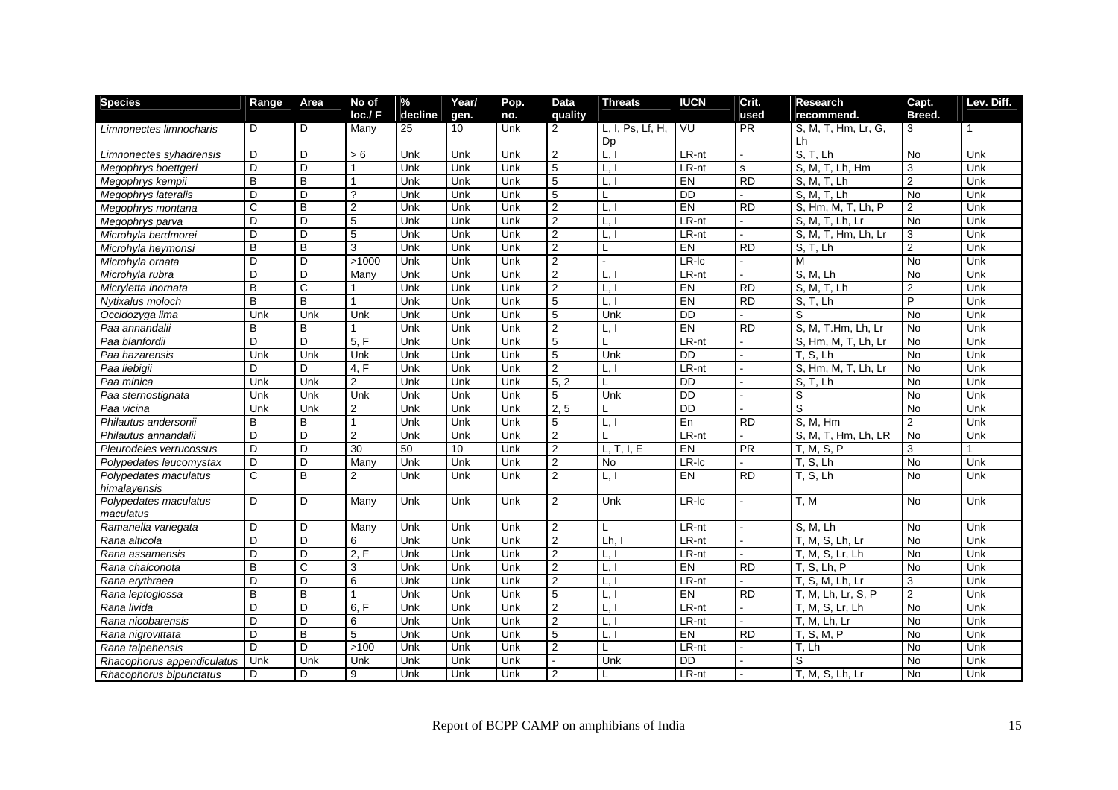| <b>Species</b>             | Range          | Area           | No of          | $\frac{1}{2}$ | Year/ | Pop. | <b>Data</b>    | <b>Threats</b>      | <b>IUCN</b>     | Crit.           | <b>Research</b>               | Capt.          | Lev. Diff.   |
|----------------------------|----------------|----------------|----------------|---------------|-------|------|----------------|---------------------|-----------------|-----------------|-------------------------------|----------------|--------------|
|                            |                |                | locJF          | decline       | gen.  | no.  | quality        |                     |                 | used            | recommend.                    | Breed.         |              |
| Limnonectes limnocharis    | D              | D              | Many           | 25            | 10    | Unk  | 2              | L. I. Ps. Lf. H.    | VU              | <b>PR</b>       | S, M, T, Hm, Lr, G,           | 3              | $\mathbf{1}$ |
|                            |                |                |                |               |       |      |                | Dp                  |                 |                 | Lh                            |                |              |
| Limnonectes syhadrensis    | D              | D.             | > 6            | Unk           | Unk   | Unk  | $\overline{2}$ | $\lfloor . \rfloor$ | LR-nt           | $\sim$          | S. T. Lh                      | <b>No</b>      | Unk          |
| Megophrys boettgeri        | D              | D              |                | Unk           | Unk   | Unk  | 5              | L, I                | $LR-nt$         | s               | S, M, T, Lh, Hm               | 3              | Unk          |
| Megophrys kempii           | $\overline{B}$ | B              |                | Unk           | Unk   | Unk  | 5              | L.                  | E               | $\overline{RD}$ | S. M. T. Lh                   | $\overline{2}$ | Unk          |
| Megophrys lateralis        | D              | D              | $\mathcal{P}$  | Unk           | Unk   | Unk  | 5              | L                   | $\overline{DD}$ |                 | $\overline{S, M, T, L}$ h     | $\overline{N}$ | Unk          |
| Megophrys montana          | $\mathbf C$    | B              | $\overline{2}$ | Unk           | Unk   | Unk  | $\overline{2}$ | L.                  | EN              | <b>RD</b>       | S, Hm, M, T, Lh, P            | $\overline{2}$ | Unk          |
| Megophrys parva            | D              | D              | $\overline{5}$ | Unk           | Unk   | Unk  | $\overline{2}$ | L.                  | $LR-nt$         | $\sim$          | $\overline{S}$ , M, T, Lh, Lr | $\overline{N}$ | Unk          |
| Microhyla berdmorei        | D              | D              | 5              | Unk           | Unk   | Unk  | $\overline{2}$ | L, I                | LR-nt           |                 | S, M, T, Hm, Lh, Lr           | 3              | Unk          |
| Microhyla heymonsi         | B              | $\overline{B}$ | 3              | Unk           | Unk   | Unk  | $\overline{2}$ | L                   | EN              | <b>RD</b>       | S, T, Lh                      | $\overline{2}$ | Unk          |
| Microhyla ornata           | D              | D              | >1000          | Unk           | Unk   | Unk  | $\overline{2}$ |                     | $LR$ -Ic        |                 | M                             | No             | Unk          |
| Microhyla rubra            | D              | D              | Many           | Unk           | Unk   | Unk  | $\overline{2}$ | L.                  | LR-nt           | $\overline{a}$  | S, M, Lh                      | <b>No</b>      | Unk          |
| Micryletta inornata        | B              | $\overline{C}$ |                | Unk           | Unk   | Unk  | $\overline{2}$ | L,                  | EN              | $\overline{RD}$ | S, M, T, Lh                   | $\overline{2}$ | Unk          |
| Nytixalus moloch           | B              | $\overline{B}$ |                | Unk           | Unk   | Unk  | 5              | L.I                 | E               | $\overline{RD}$ | S, T, Lh                      | $\overline{P}$ | Unk          |
| Occidozyga lima            | Unk            | Unk            | Unk            | Unk           | Unk   | Unk  | 5              | Unk                 | <b>DD</b>       |                 | S                             | <b>No</b>      | Unk          |
| Paa annandalii             | B              | B              |                | Unk           | Unk   | Unk  | $\overline{2}$ | L,                  | EN              | <b>RD</b>       | S. M. T.Hm. Lh. Lr            | <b>No</b>      | Unk          |
| Paa blanfordii             | D              | D              | 5, F           | Unk           | Unk   | Unk  | 5              | L                   | LR-nt           |                 | S, Hm, M, T, Lh, Lr           | <b>No</b>      | Unk          |
| Paa hazarensis             | Unk            | Unk            | Unk            | Unk           | Unk   | Unk  | 5              | Unk                 | <b>DD</b>       | $\mathbf{r}$    | T, S, Lh                      | <b>No</b>      | Unk          |
| Paa liebigii               | D              | D              | 4, F           | Unk           | Unk   | Unk  | $\overline{2}$ | L.                  | $LR-nt$         |                 | S, Hm, M, T, Lh, Lr           | $\overline{N}$ | Unk          |
| Paa minica                 | Unk            | Unk            | $\overline{2}$ | Unk           | Unk   | Unk  | 5, 2           | L                   | $\overline{DD}$ |                 | S, T, Lh                      | $\overline{N}$ | Unk          |
| Paa sternostignata         | Unk            | Unk            | Unk            | Unk           | Unk   | Unk  | 5              | Unk                 | $\overline{DD}$ |                 | S                             | $\overline{N}$ | Unk          |
| Paa vicina                 | Unk            | Unk            | $\overline{2}$ | Unk           | Unk   | Unk  | 2, 5           | L                   | <b>DD</b>       |                 | S                             | $\overline{N}$ | Unk          |
| Philautus andersonii       | B              | B              | $\overline{1}$ | Unk           | Unk   | Unk  | 5              | L.                  | En              | <b>RD</b>       | S. M. Hm                      | $\overline{2}$ | Unk          |
| Philautus annandalii       | D              | D              | 2              | Unk           | Unk   | Unk  | $\overline{2}$ | T                   | LR-nt           |                 | S, M, T, Hm, Lh, LR           | <b>No</b>      | Unk          |
| Pleurodeles verrucossus    | D              | D              | 30             | 50            | 10    | Unk  | $\mathbf{2}$   | L, T, I, E          | EN              | PR              | T, M, S, P                    | 3              |              |
| Polypedates leucomystax    | D              | D              | Many           | Unk           | Unk   | Unk  | $\overline{2}$ | No                  | $LR$ -Ic        |                 | T, S, Lh                      | $\overline{N}$ | Unk          |
| Polypedates maculatus      | $\mathsf{C}$   | B              | 2              | Unk           | Unk   | Unk  | $\overline{2}$ | L.1                 | EN              | <b>RD</b>       | T. S. Lh                      | <b>No</b>      | Unk          |
| himalayensis               |                |                |                |               |       |      |                |                     |                 |                 |                               |                |              |
| Polypedates maculatus      | D              | D              | Many           | Unk           | Unk   | Unk  | 2              | Unk                 | LR-Ic           |                 | T, M                          | <b>No</b>      | Unk          |
| maculatus                  |                |                |                |               |       |      |                |                     |                 |                 |                               |                |              |
| Ramanella variegata        | D              | D              | Many           | Unk           | Unk   | Unk  | 2              | L                   | LR-nt           | $\mathbf{r}$    | S, M, Lh                      | <b>No</b>      | Unk          |
| Rana alticola              | D              | D              | 6              | Unk           | Unk   | Unk  | $\overline{2}$ | Lh,                 | $LR-nt$         | $\sim$          | T, M, S, Lh, Lr               | <b>No</b>      | Unk          |
| Rana assamensis            | D              | D              | 2, F           | Unk           | Unk   | Unk  | $\overline{2}$ | L,                  | $LR-nt$         |                 | T, M, S, Lr, Lh               | $\overline{N}$ | Unk          |
| Rana chalconota            | B              | C              | 3              | Unk           | Unk   | Unk  | $\overline{2}$ | L, I                | EN              | <b>RD</b>       | T. S. Lh. P                   | <b>No</b>      | Unk          |
| Rana erythraea             | D              | D              | 6              | Unk           | Unk   | Unk  | $\overline{2}$ | L,                  | $LR-nt$         |                 | T, S, M, Lh, Lr               | 3              | Unk          |
| Rana leptoglossa           | B              | B              |                | Unk           | Unk   | Unk  | 5              | L, I                | EN              | <b>RD</b>       | T, M, Lh, Lr, S, P            | $\overline{2}$ | Unk          |
| Rana livida                | D              | D              | 6, F           | Unk           | Unk   | Unk  | $\overline{2}$ | L,                  | LR-nt           |                 | T, M, S, Lr, Lh               | <b>No</b>      | Unk          |
| Rana nicobarensis          | D              | D              | 6              | Unk           | Unk   | Unk  | $\overline{2}$ | L.                  | LR-nt           | $\sim$          | T, M, Lh, Lr                  | <b>No</b>      | Unk          |
| Rana nigrovittata          | D              | $\overline{B}$ | $\overline{5}$ | Unk           | Unk   | Unk  | $\overline{5}$ | L,                  | EN              | <b>RD</b>       | T, S, M, P                    | $\overline{N}$ | Unk          |
| Rana taipehensis           | D              | D              | >100           | Unk           | Unk   | Unk  | $\overline{2}$ | L                   | LR-nt           |                 | T. Lh                         | <b>No</b>      | Unk          |
| Rhacophorus appendiculatus | Unk            | Unk            | Unk            | Unk           | Unk   | Unk  |                | Unk                 | $\overline{DD}$ |                 | S                             | $\overline{N}$ | Unk          |
| Rhacophorus bipunctatus    | D              | D              | 9              | Unk           | Unk   | Unk  | 2              |                     | LR-nt           |                 | T, M, S, Lh, Lr               | $\overline{N}$ | Unk          |